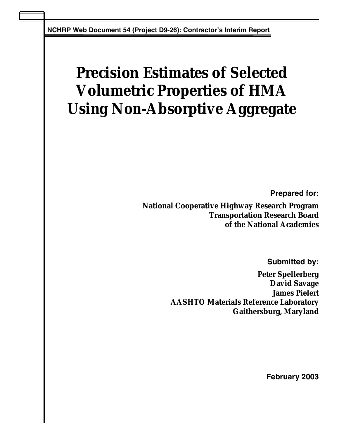**NCHRP Web Document 54 (Project D9-26): Contractor's Interim Report** 

# **Precision Estimates of Selected Volumetric Properties of HMA Using Non-Absorptive Aggregate**

**Prepared for:** 

**National Cooperative Highway Research Program Transportation Research Board of the National Academies** 

**Submitted by:** 

**Peter Spellerberg David Savage James Pielert AASHTO Materials Reference Laboratory Gaithersburg, Maryland** 

**February 2003**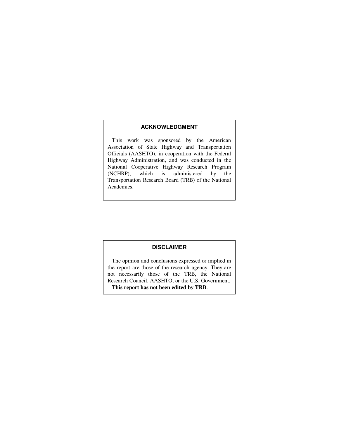#### **ACKNOWLEDGMENT**

 This work was sponsored by the American Association of State Highway and Transportation Officials (AASHTO), in cooperation with the Federal Highway Administration, and was conducted in the National Cooperative Highway Research Program<br>(NCHRP), which is administered by the which is administered by the Transportation Research Board (TRB) of the National Academies.

#### **DISCLAIMER**

 The opinion and conclusions expressed or implied in the report are those of the research agency. They are not necessarily those of the TRB, the National Research Council, AASHTO, or the U.S. Government. **This report has not been edited by TRB**.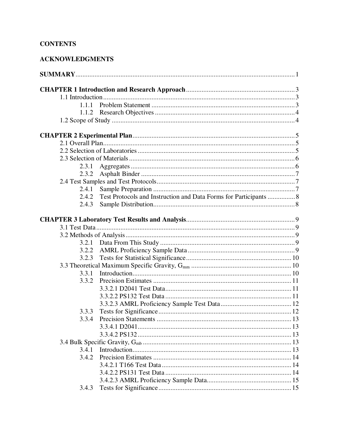## **CONTENTS**

| 1.1.1 |
|-------|
|       |
|       |
|       |
|       |
|       |
|       |
|       |
|       |
|       |
|       |
| 2.3.1 |
| 2.3.2 |
|       |
| 2.4.1 |
| 2.4.2 |
| 2.4.3 |
|       |
|       |
|       |
|       |
| 3.2.2 |
| 3.2.3 |
|       |
|       |
| 3.3.2 |
|       |
|       |
|       |
| 3.3.3 |
| 3.3.4 |
|       |
|       |
|       |
| 3.4.1 |
| 3.4.2 |
|       |
|       |
|       |
| 3.4.3 |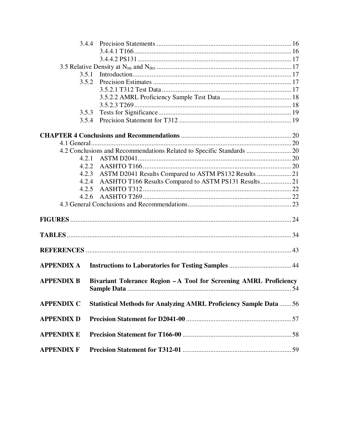| 3.4.4             |                                                                           |    |
|-------------------|---------------------------------------------------------------------------|----|
|                   |                                                                           |    |
|                   |                                                                           |    |
|                   |                                                                           |    |
| 3.5.1             |                                                                           |    |
| 3.5.2             |                                                                           |    |
|                   |                                                                           |    |
|                   |                                                                           |    |
|                   |                                                                           |    |
| 3.5.3             |                                                                           |    |
| 3.5.4             |                                                                           |    |
|                   |                                                                           |    |
|                   |                                                                           |    |
|                   | 4.2 Conclusions and Recommendations Related to Specific Standards  20     |    |
| 4.2.1             |                                                                           |    |
| 4.2.2             |                                                                           |    |
| 4.2.3             | ASTM D2041 Results Compared to ASTM PS132 Results  21                     |    |
| 4.2.4             | AASHTO T166 Results Compared to ASTM PS131 Results 21                     |    |
| 4.2.5             |                                                                           |    |
| 4.2.6             |                                                                           |    |
|                   |                                                                           |    |
|                   |                                                                           |    |
|                   |                                                                           |    |
|                   |                                                                           |    |
|                   |                                                                           |    |
| <b>APPENDIX A</b> |                                                                           |    |
| <b>APPENDIX B</b> | Bivariant Tolerance Region - A Tool for Screening AMRL Proficiency        | 54 |
|                   |                                                                           |    |
| <b>APPENDIX C</b> | <b>Statistical Methods for Analyzing AMRL Proficiency Sample Data  56</b> |    |
| <b>APPENDIX D</b> |                                                                           |    |
| <b>APPENDIX E</b> |                                                                           |    |
| <b>APPENDIX F</b> |                                                                           |    |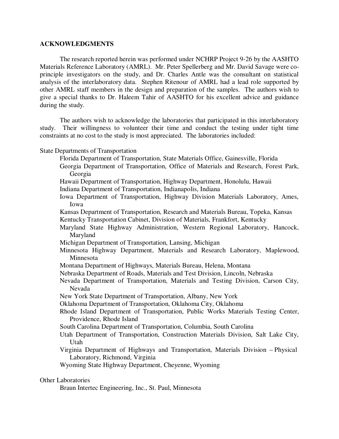#### **ACKNOWLEDGMENTS**

The research reported herein was performed under NCHRP Project 9-26 by the AASHTO Materials Reference Laboratory (AMRL). Mr. Peter Spellerberg and Mr. David Savage were coprinciple investigators on the study, and Dr. Charles Antle was the consultant on statistical analysis of the interlaboratory data. Stephen Ritenour of AMRL had a lead role supported by other AMRL staff members in the design and preparation of the samples. The authors wish to give a special thanks to Dr. Haleem Tahir of AASHTO for his excellent advice and guidance during the study.

The authors wish to acknowledge the laboratories that participated in this interlaboratory study. Their willingness to volunteer their time and conduct the testing under tight time constraints at no cost to the study is most appreciated. The laboratories included:

State Departments of Transportation

Florida Department of Transportation, State Materials Office, Gainesville, Florida

Georgia Department of Transportation, Office of Materials and Research, Forest Park, Georgia

Hawaii Department of Transportation, Highway Department, Honolulu, Hawaii

Indiana Department of Transportation, Indianapolis, Indiana

- Iowa Department of Transportation, Highway Division Materials Laboratory, Ames, Iowa
- Kansas Department of Transportation, Research and Materials Bureau, Topeka, Kansas
- Kentucky Transportation Cabinet, Division of Materials, Frankfort, Kentucky
- Maryland State Highway Administration, Western Regional Laboratory, Hancock, Maryland
- Michigan Department of Transportation, Lansing, Michigan
- Minnesota Highway Department, Materials and Research Laboratory, Maplewood, Minnesota
- Montana Department of Highways, Materials Bureau, Helena, Montana
- Nebraska Department of Roads, Materials and Test Division, Lincoln, Nebraska
- Nevada Department of Transportation, Materials and Testing Division, Carson City, Nevada
- New York State Department of Transportation, Albany, New York

Oklahoma Department of Transportation, Oklahoma City, Oklahoma

- Rhode Island Department of Transportation, Public Works Materials Testing Center, Providence, Rhode Island
- South Carolina Department of Transportation, Columbia, South Carolina
- Utah Department of Transportation, Construction Materials Division, Salt Lake City, Utah
- Virginia Department of Highways and Transportation, Materials Division Physical Laboratory, Richmond, Virginia

Wyoming State Highway Department, Cheyenne, Wyoming

#### Other Laboratories

Braun Intertec Engineering, Inc., St. Paul, Minnesota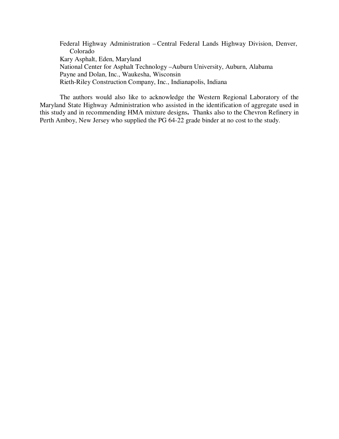Federal Highway Administration – Central Federal Lands Highway Division, Denver, Colorado Kary Asphalt, Eden, Maryland National Center for Asphalt Technology – Auburn University, Auburn, Alabama Payne and Dolan, Inc., Waukesha, Wisconsin Rieth-Riley Construction Company, Inc., Indianapolis, Indiana

The authors would also like to acknowledge the Western Regional Laboratory of the Maryland State Highway Administration who assisted in the identification of aggregate used in this study and in recommending HMA mixture designs**.** Thanks also to the Chevron Refinery in Perth Amboy, New Jersey who supplied the PG 64-22 grade binder at no cost to the study.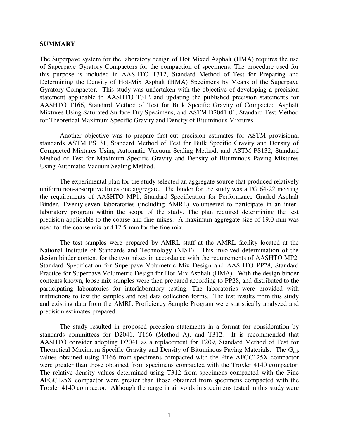#### **SUMMARY**

The Superpave system for the laboratory design of Hot Mixed Asphalt (HMA) requires the use of Superpave Gyratory Compactors for the compaction of specimens. The procedure used for this purpose is included in AASHTO T312, Standard Method of Test for Preparing and Determining the Density of Hot-Mix Asphalt (HMA) Specimens by Means of the Superpave Gyratory Compactor. This study was undertaken with the objective of developing a precision statement applicable to AASHTO T312 and updating the published precision statements for AASHTO T166, Standard Method of Test for Bulk Specific Gravity of Compacted Asphalt Mixtures Using Saturated Surface-Dry Specimens, and ASTM D2041-01, Standard Test Method for Theoretical Maximum Specific Gravity and Density of Bituminous Mixtures.

Another objective was to prepare first-cut precision estimates for ASTM provisional standards ASTM PS131, Standard Method of Test for Bulk Specific Gravity and Density of Compacted Mixtures Using Automatic Vacuum Sealing Method, and ASTM PS132, Standard Method of Test for Maximum Specific Gravity and Density of Bituminous Paving Mixtures Using Automatic Vacuum Sealing Method.

The experimental plan for the study selected an aggregate source that produced relatively uniform non-absorptive limestone aggregate. The binder for the study was a PG 64-22 meeting the requirements of AASHTO MP1, Standard Specification for Performance Graded Asphalt Binder. Twenty-seven laboratories (including AMRL) volunteered to participate in an interlaboratory program within the scope of the study. The plan required determining the test precision applicable to the coarse and fine mixes. A maximum aggregate size of 19.0-mm was used for the coarse mix and 12.5-mm for the fine mix.

The test samples were prepared by AMRL staff at the AMRL facility located at the National Institute of Standards and Technology (NIST). This involved determination of the design binder content for the two mixes in accordance with the requirements of AASHTO MP2, Standard Specification for Superpave Volumetric Mix Design and AASHTO PP28, Standard Practice for Superpave Volumetric Design for Hot-Mix Asphalt (HMA). With the design binder contents known, loose mix samples were then prepared according to PP28, and distributed to the participating laboratories for interlaboratory testing. The laboratories were provided with instructions to test the samples and test data collection forms. The test results from this study and existing data from the AMRL Proficiency Sample Program were statistically analyzed and precision estimates prepared.

The study resulted in proposed precision statements in a format for consideration by standards committees for D2041, T166 (Method A), and T312. It is recommended that AASHTO consider adopting D2041 as a replacement for T209, Standard Method of Test for Theoretical Maximum Specific Gravity and Density of Bituminous Paving Materials. The  $G_{mb}$ values obtained using T166 from specimens compacted with the Pine AFGC125X compactor were greater than those obtained from specimens compacted with the Troxler 4140 compactor. The relative density values determined using T312 from specimens compacted with the Pine AFGC125X compactor were greater than those obtained from specimens compacted with the Troxler 4140 compactor. Although the range in air voids in specimens tested in this study were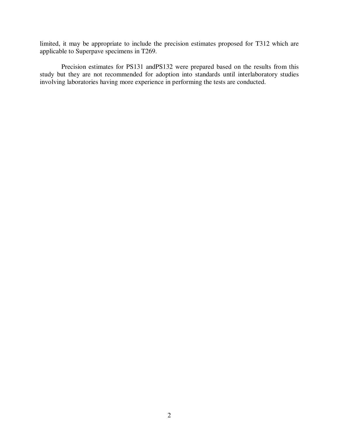limited, it may be appropriate to include the precision estimates proposed for T312 which are applicable to Superpave specimens in T269.

 Precision estimates for PS131 andPS132 were prepared based on the results from this study but they are not recommended for adoption into standards until interlaboratory studies involving laboratories having more experience in performing the tests are conducted.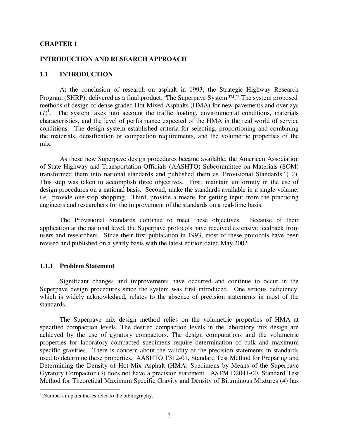#### **CHAPTER 1**

#### **INTRODUCTION AND RESEARCH APPROACH**

#### **1.1 INTRODUCTION**

At the conclusion of research on asphalt in 1993, the Strategic Highway Research Program (SHRP), delivered as a final product, "The Superpave System  $TM$ ." The system proposed methods of design of dense graded Hot Mixed Asphalts (HMA) for new pavements and overlays  $(I)^1$ . The system takes into account the traffic loading, environmental conditions, materials characteristics, and the level of performance expected of the HMA in the real world of service conditions. The design system established criteria for selecting, proportioning and combining the materials, densification or compaction requirements, and the volumetric properties of the mix.

As these new Superpave design procedures became available, the American Association of State Highway and Transportation Officials (AASHTO) Subcommittee on Materials (SOM) transformed them into national standards and published them as "Provisional Standards" ( *2*). This step was taken to accomplish three objectives. First, maintain uniformity in the use of design procedures on a national basis. Second, make the standards available in a single volume, i.e., provide one-stop shopping. Third, provide a means for getting input from the practicing engineers and researchers for the improvement of the standards on a real-time basis.

The Provisional Standards continue to meet these objectives. Because of their application at the national level, the Superpave protocols have received extensive feedback from users and researchers. Since their first publication in 1993, most of these protocols have been revised and published on a yearly basis with the latest edition dated May 2002.

#### **1.1.1 Problem Statement**

Significant changes and improvements have occurred and continue to occur in the Superpave design procedures since the system was first introduced. One serious deficiency, which is widely acknowledged, relates to the absence of precision statements in most of the standards.

The Superpave mix design method relies on the volumetric properties of HMA at specified compaction levels. The desired compaction levels in the laboratory mix design are achieved by the use of gyratory compactors. The design computations and the volumetric properties for laboratory compacted specimens require determination of bulk and maximum specific gravities. There is concern about the validity of the precision statements in standards used to determine these properties. AASHTO T312-01, Standard Test Method for Preparing and Determining the Density of Hot-Mix Asphalt (HMA) Specimens by Means of the Superpave Gyratory Compactor (*3*) does not have a precision statement. ASTM D2041-00, Standard Test Method for Theoretical Maximum Specific Gravity and Density of Bituminous Mixtures (*4*) has

<sup>&</sup>lt;sup>1</sup> Numbers in parentheses refer to the bibliography.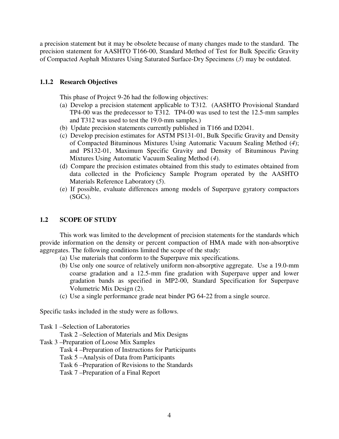a precision statement but it may be obsolete because of many changes made to the standard. The precision statement for AASHTO T166-00, Standard Method of Test for Bulk Specific Gravity of Compacted Asphalt Mixtures Using Saturated Surface-Dry Specimens (*3*) may be outdated.

### **1.1.2 Research Objectives**

This phase of Project 9-26 had the following objectives:

- (a) Develop a precision statement applicable to T312. (AASHTO Provisional Standard TP4-00 was the predecessor to T312. TP4-00 was used to test the 12.5-mm samples and T312 was used to test the 19.0-mm samples.)
- (b) Update precision statements currently published in T166 and D2041.
- (c) Develop precision estimates for ASTM PS131-01, Bulk Specific Gravity and Density of Compacted Bituminous Mixtures Using Automatic Vacuum Sealing Method (*4*); and PS132-01, Maximum Specific Gravity and Density of Bituminous Paving Mixtures Using Automatic Vacuum Sealing Method (*4*).
- (d) Compare the precision estimates obtained from this study to estimates obtained from data collected in the Proficiency Sample Program operated by the AASHTO Materials Reference Laboratory (*5*).
- (e) If possible, evaluate differences among models of Superpave gyratory compactors (SGCs).

### **1.2 SCOPE OF STUDY**

This work was limited to the development of precision statements for the standards which provide information on the density or percent compaction of HMA made with non-absorptive aggregates. The following conditions limited the scope of the study:

- (a) Use materials that conform to the Superpave mix specifications.
- (b) Use only one source of relatively uniform non-absorptive aggregate. Use a 19.0-mm coarse gradation and a 12.5-mm fine gradation with Superpave upper and lower gradation bands as specified in MP2-00, Standard Specification for Superpave Volumetric Mix Design (2).
- (c) Use a single performance grade neat binder PG 64-22 from a single source.

Specific tasks included in the study were as follows.

Task 1 – Selection of Laboratories

Task 2 – Selection of Materials and Mix Designs

- Task 3 Preparation of Loose Mix Samples
	- Task 4 Preparation of Instructions for Participants
	- Task 5 Analysis of Data from Participants
	- Task 6 Preparation of Revisions to the Standards

Task 7 – Preparation of a Final Report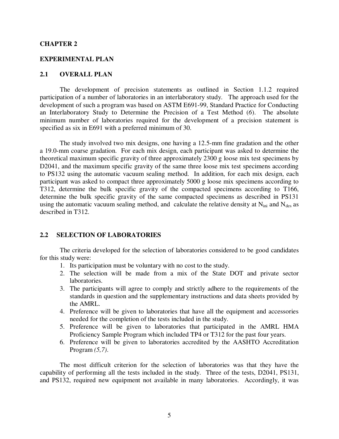#### **CHAPTER 2**

#### **EXPERIMENTAL PLAN**

### **2.1 OVERALL PLAN**

The development of precision statements as outlined in Section 1.1.2 required participation of a number of laboratories in an interlaboratory study. The approach used for the development of such a program was based on ASTM E691-99, Standard Practice for Conducting an Interlaboratory Study to Determine the Precision of a Test Method (*6*). The absolute minimum number of laboratories required for the development of a precision statement is specified as six in E691 with a preferred minimum of 30.

The study involved two mix designs, one having a 12.5-mm fine gradation and the other a 19.0-mm coarse gradation. For each mix design, each participant was asked to determine the theoretical maximum specific gravity of three approximately 2300 g loose mix test specimens by D2041, and the maximum specific gravity of the same three loose mix test specimens according to PS132 using the automatic vacuum sealing method. In addition, for each mix design, each participant was asked to compact three approximately 5000 g loose mix specimens according to T312, determine the bulk specific gravity of the compacted specimens according to T166, determine the bulk specific gravity of the same compacted specimens as described in PS131 using the automatic vacuum sealing method, and calculate the relative density at  $N_{\text{ini}}$  and  $N_{\text{des}}$  as described in T312.

#### **2.2 SELECTION OF LABORATORIES**

The criteria developed for the selection of laboratories considered to be good candidates for this study were:

- 1. Its participation must be voluntary with no cost to the study.
- 2. The selection will be made from a mix of the State DOT and private sector laboratories.
- 3. The participants will agree to comply and strictly adhere to the requirements of the standards in question and the supplementary instructions and data sheets provided by the AMRL.
- 4. Preference will be given to laboratories that have all the equipment and accessories needed for the completion of the tests included in the study.
- 5. Preference will be given to laboratories that participated in the AMRL HMA Proficiency Sample Program which included TP4 or T312 for the past four years.
- 6. Preference will be given to laboratories accredited by the AASHTO Accreditation Program *(5,7)*.

The most difficult criterion for the selection of laboratories was that they have the capability of performing all the tests included in the study. Three of the tests, D2041, PS131, and PS132, required new equipment not available in many laboratories. Accordingly, it was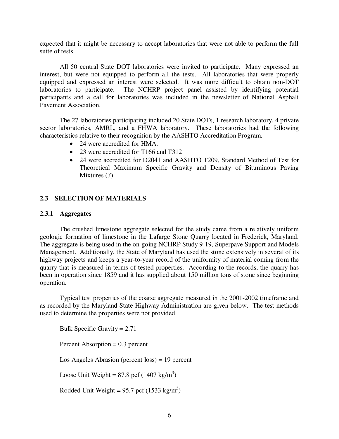expected that it might be necessary to accept laboratories that were not able to perform the full suite of tests.

All 50 central State DOT laboratories were invited to participate. Many expressed an interest, but were not equipped to perform all the tests. All laboratories that were properly equipped and expressed an interest were selected. It was more difficult to obtain non-DOT laboratories to participate. The NCHRP project panel assisted by identifying potential participants and a call for laboratories was included in the newsletter of National Asphalt Pavement Association.

The 27 laboratories participating included 20 State DOTs, 1 research laboratory, 4 private sector laboratories, AMRL, and a FHWA laboratory. These laboratories had the following characteristics relative to their recognition by the AASHTO Accreditation Program.

- 24 were accredited for HMA.
- 23 were accredited for T166 and T312
- 24 were accredited for D2041 and AASHTO T209, Standard Method of Test for Theoretical Maximum Specific Gravity and Density of Bituminous Paving Mixtures (*3*).

#### **2.3 SELECTION OF MATERIALS**

#### **2.3.1 Aggregates**

The crushed limestone aggregate selected for the study came from a relatively uniform geologic formation of limestone in the Lafarge Stone Quarry located in Frederick, Maryland. The aggregate is being used in the on-going NCHRP Study 9-19, Superpave Support and Models Management. Additionally, the State of Maryland has used the stone extensively in several of its highway projects and keeps a year-to-year record of the uniformity of material coming from the quarry that is measured in terms of tested properties. According to the records, the quarry has been in operation since 1859 and it has supplied about 150 million tons of stone since beginning operation.

Typical test properties of the coarse aggregate measured in the 2001-2002 timeframe and as recorded by the Maryland State Highway Administration are given below. The test methods used to determine the properties were not provided.

Bulk Specific Gravity = 2.71

Percent Absorption = 0.3 percent

Los Angeles Abrasion (percent loss) = 19 percent

Loose Unit Weight =  $87.8 \text{ pcf } (1407 \text{ kg/m}^3)$ 

Rodded Unit Weight =  $95.7$  pcf (1533 kg/m<sup>3</sup>)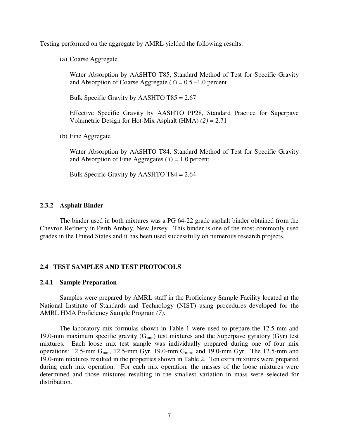Testing performed on the aggregate by AMRL yielded the following results:

(a) Coarse Aggregate

Water Absorption by AASHTO T85, Standard Method of Test for Specific Gravity and Absorption of Coarse Aggregate  $(3) = 0.5 - 1.0$  percent

Bulk Specific Gravity by AASHTO T85 = 2.67

Effective Specific Gravity by AASHTO PP28, Standard Practice for Superpave Volumetric Design for Hot-Mix Asphalt (HMA) *(2)* = 2.71

(b) Fine Aggregate

Water Absorption by AASHTO T84, Standard Method of Test for Specific Gravity and Absorption of Fine Aggregates  $(3) = 1.0$  percent

Bulk Specific Gravity by AASHTO T84 = 2.64

#### **2.3.2 Asphalt Binder**

The binder used in both mixtures was a PG 64-22 grade asphalt binder obtained from the Chevron Refinery in Perth Amboy, New Jersey. This binder is one of the most commonly used grades in the United States and it has been used successfully on numerous research projects.

#### **2.4 TEST SAMPLES AND TEST PROTOCOLS**

#### **2.4.1 Sample Preparation**

Samples were prepared by AMRL staff in the Proficiency Sample Facility located at the National Institute of Standards and Technology (NIST) using procedures developed for the AMRL HMA Proficiency Sample Program *(7).*

The laboratory mix formulas shown in Table 1 were used to prepare the 12.5-mm and 19.0-mm maximum specific gravity  $(G_{mm})$  test mixtures and the Superpave gyratory (Gyr) test mixtures. Each loose mix test sample was individually prepared during one of four mix operations: 12.5-mm  $G<sub>mm</sub>$ , 12.5-mm  $G<sub>yr</sub>$ , 19.0-mm  $G<sub>mm</sub>$ , and 19.0-mm  $G<sub>yr</sub>$ . The 12.5-mm and 19.0-mm mixtures resulted in the properties shown in Table 2. Ten extra mixtures were prepared during each mix operation. For each mix operation, the masses of the loose mixtures were determined and those mixtures resulting in the smallest variation in mass were selected for distribution.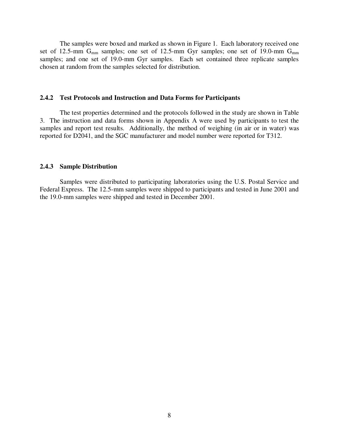The samples were boxed and marked as shown in Figure 1. Each laboratory received one set of 12.5-mm  $G_{mm}$  samples; one set of 12.5-mm Gyr samples; one set of 19.0-mm  $G_{mm}$ samples; and one set of 19.0-mm Gyr samples. Each set contained three replicate samples chosen at random from the samples selected for distribution.

#### **2.4.2 Test Protocols and Instruction and Data Forms for Participants**

The test properties determined and the protocols followed in the study are shown in Table 3. The instruction and data forms shown in Appendix A were used by participants to test the samples and report test results. Additionally, the method of weighing (in air or in water) was reported for D2041, and the SGC manufacturer and model number were reported for T312.

#### **2.4.3 Sample Distribution**

Samples were distributed to participating laboratories using the U.S. Postal Service and Federal Express. The 12.5-mm samples were shipped to participants and tested in June 2001 and the 19.0-mm samples were shipped and tested in December 2001.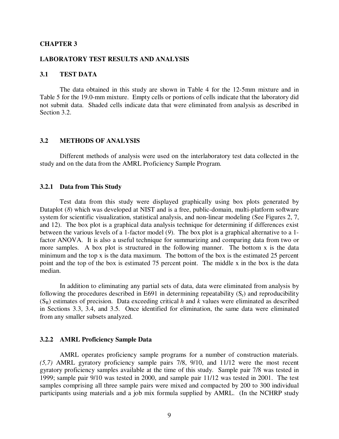#### **CHAPTER 3**

#### **LABORATORY TEST RESULTS AND ANALYSIS**

### **3.1 TEST DATA**

The data obtained in this study are shown in Table 4 for the 12-5mm mixture and in Table 5 for the 19.0-mm mixture. Empty cells or portions of cells indicate that the laboratory did not submit data. Shaded cells indicate data that were eliminated from analysis as described in Section 3.2.

#### **3.2 METHODS OF ANALYSIS**

Different methods of analysis were used on the interlaboratory test data collected in the study and on the data from the AMRL Proficiency Sample Program.

#### **3.2.1 Data from This Study**

Test data from this study were displayed graphically using box plots generated by Dataplot (8) which was developed at NIST and is a free, public-domain, multi-platform software system for scientific visualization, statistical analysis, and non-linear modeling (See Figures 2, 7, and 12). The box plot is a graphical data analysis technique for determining if differences exist between the various levels of a 1-factor model (*9*). The box plot is a graphical alternative to a 1 factor ANOVA. It is also a useful technique for summarizing and comparing data from two or more samples. A box plot is structured in the following manner. The bottom x is the data minimum and the top x is the data maximum. The bottom of the box is the estimated 25 percent point and the top of the box is estimated 75 percent point. The middle x in the box is the data median.

In addition to eliminating any partial sets of data, data were eliminated from analysis by following the procedures described in E691 in determining repeatability  $(S_r)$  and reproducibility  $(S_R)$  estimates of precision. Data exceeding critical *h* and *k* values were eliminated as described in Sections 3.3, 3.4, and 3.5. Once identified for elimination, the same data were eliminated from any smaller subsets analyzed.

#### **3.2.2 AMRL Proficiency Sample Data**

AMRL operates proficiency sample programs for a number of construction materials. *(5,7)* AMRL gyratory proficiency sample pairs 7/8, 9/10, and 11/12 were the most recent gyratory proficiency samples available at the time of this study. Sample pair 7/8 was tested in 1999; sample pair 9/10 was tested in 2000, and sample pair 11/12 was tested in 2001. The test samples comprising all three sample pairs were mixed and compacted by 200 to 300 individual participants using materials and a job mix formula supplied by AMRL. (In the NCHRP study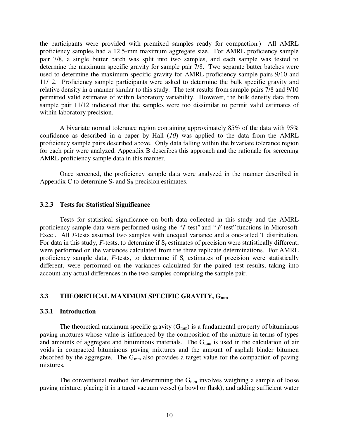the participants were provided with premixed samples ready for compaction.) All AMRL proficiency samples had a 12.5-mm maximum aggregate size. For AMRL proficiency sample pair 7/8, a single butter batch was split into two samples, and each sample was tested to determine the maximum specific gravity for sample pair 7/8. Two separate butter batches were used to determine the maximum specific gravity for AMRL proficiency sample pairs 9/10 and 11/12. Proficiency sample participants were asked to determine the bulk specific gravity and relative density in a manner similar to this study. The test results from sample pairs 7/8 and 9/10 permitted valid estimates of within laboratory variability. However, the bulk density data from sample pair 11/12 indicated that the samples were too dissimilar to permit valid estimates of within laboratory precision.

A bivariate normal tolerance region containing approximately 85% of the data with 95% confidence as described in a paper by Hall (*10*) was applied to the data from the AMRL proficiency sample pairs described above. Only data falling within the bivariate tolerance region for each pair were analyzed. Appendix B describes this approach and the rationale for screening AMRL proficiency sample data in this manner.

Once screened, the proficiency sample data were analyzed in the manner described in Appendix C to determine  $S_r$  and  $S_R$  precision estimates.

#### **3.2.3 Tests for Statistical Significance**

Tests for statistical significance on both data collected in this study and the AMRL proficiency sample data were performed using the "*T*-test" and "*F*-test" functions in Microsoft Excel. All *T*-tests assumed two samples with unequal variance and a one-tailed T distribution. For data in this study,  $F$ -tests, to determine if  $S_r$  estimates of precision were statistically different, were performed on the variances calculated from the three replicate determinations. For AMRL proficiency sample data,  $F$ -tests, to determine if  $S_r$  estimates of precision were statistically different, were performed on the variances calculated for the paired test results, taking into account any actual differences in the two samples comprising the sample pair.

### **3.3 THEORETICAL MAXIMUM SPECIFIC GRAVITY, G<sub>mm</sub>**

#### **3.3.1 Introduction**

The theoretical maximum specific gravity  $(G_{mm})$  is a fundamental property of bituminous paving mixtures whose value is influenced by the composition of the mixture in terms of types and amounts of aggregate and bituminous materials. The  $G<sub>mm</sub>$  is used in the calculation of air voids in compacted bituminous paving mixtures and the amount of asphalt binder bitumen absorbed by the aggregate. The  $G<sub>mm</sub>$  also provides a target value for the compaction of paving mixtures.

The conventional method for determining the  $G<sub>mm</sub>$  involves weighing a sample of loose paving mixture, placing it in a tared vacuum vessel (a bowl or flask), and adding sufficient water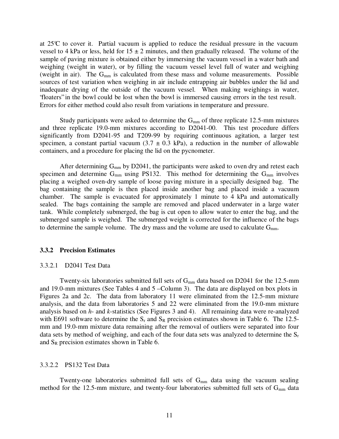at  $25^{\circ}$  to cover it. Partial vacuum is applied to reduce the residual pressure in the vacuum vessel to 4 kPa or less, held for  $15 \pm 2$  minutes, and then gradually released. The volume of the sample of paving mixture is obtained either by immersing the vacuum vessel in a water bath and weighing (weight in water), or by filling the vacuum vessel level full of water and weighing (weight in air). The  $G<sub>mm</sub>$  is calculated from these mass and volume measurements. Possible sources of test variation when weighing in air include entrapping air bubbles under the lid and inadequate drying of the outside of the vacuum vessel. When making weighings in water, "floaters" in the bowl could be lost when the bowl is immersed causing errors in the test result. Errors for either method could also result from variations in temperature and pressure.

Study participants were asked to determine the  $G<sub>mm</sub>$  of three replicate 12.5-mm mixtures and three replicate 19.0-mm mixtures according to D2041-00. This test procedure differs significantly from D2041-95 and T209-99 by requiring continuous agitation, a larger test specimen, a constant partial vacuum  $(3.7 \pm 0.3 \text{ kPa})$ , a reduction in the number of allowable containers, and a procedure for placing the lid on the pycnometer.

After determining  $G_{mm}$  by D2041, the participants were asked to oven dry and retest each specimen and determine  $G_{mm}$  using PS132. This method for determining the  $G_{mm}$  involves placing a weighed oven-dry sample of loose paving mixture in a specially designed bag. The bag containing the sample is then placed inside another bag and placed inside a vacuum chamber. The sample is evacuated for approximately 1 minute to 4 kPa and automatically sealed. The bags containing the sample are removed and placed underwater in a large water tank. While completely submerged, the bag is cut open to allow water to enter the bag, and the submerged sample is weighed. The submerged weight is corrected for the influence of the bags to determine the sample volume. The dry mass and the volume are used to calculate  $G<sub>mm</sub>$ .

#### **3.3.2 Precision Estimates**

#### 3.3.2.1 D2041 Test Data

Twenty-six laboratories submitted full sets of  $G<sub>mm</sub>$  data based on D2041 for the 12.5-mm and 19.0-mm mixtures (See Tables 4 and 5 – Column 3). The data are displayed on box plots in Figures 2a and 2c. The data from laboratory 11 were eliminated from the 12.5-mm mixture analysis, and the data from laboratories 5 and 22 were eliminated from the 19.0-mm mixture analysis based on *h*- and *k*-statistics (See Figures 3 and 4). All remaining data were re-analyzed with E691 software to determine the  $S_r$  and  $S_R$  precision estimates shown in Table 6. The 12.5mm and 19.0-mm mixture data remaining after the removal of outliers were separated into four data sets by method of weighing, and each of the four data sets was analyzed to determine the  $S_r$ and  $S_R$  precision estimates shown in Table 6.

#### 3.3.2.2 PS132 Test Data

Twenty-one laboratories submitted full sets of G<sub>mm</sub> data using the vacuum sealing method for the 12.5-mm mixture, and twenty-four laboratories submitted full sets of G<sub>mm</sub> data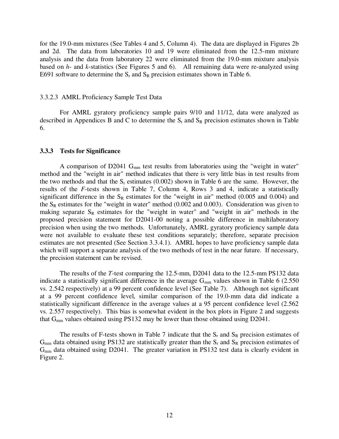for the 19.0-mm mixtures (See Tables 4 and 5, Column 4). The data are displayed in Figures 2b and 2d. The data from laboratories 10 and 19 were eliminated from the 12.5-mm mixture analysis and the data from laboratory 22 were eliminated from the 19.0-mm mixture analysis based on *h*- and *k*-statistics (See Figures 5 and 6). All remaining data were re-analyzed using E691 software to determine the  $S_r$  and  $S_R$  precision estimates shown in Table 6.

#### 3.3.2.3 AMRL Proficiency Sample Test Data

For AMRL gyratory proficiency sample pairs 9/10 and 11/12, data were analyzed as described in Appendices B and C to determine the  $S_r$  and  $S_R$  precision estimates shown in Table 6.

#### **3.3.3 Tests for Significance**

A comparison of D2041  $G<sub>mm</sub>$  test results from laboratories using the "weight in water" method and the "weight in air" method indicates that there is very little bias in test results from the two methods and that the  $S_r$  estimates (0.002) shown in Table 6 are the same. However, the results of the *F*-tests shown in Table 7, Column 4, Rows 3 and 4, indicate a statistically significant difference in the  $S_R$  estimates for the "weight in air" method (0.005 and 0.004) and the  $S_R$  estimates for the "weight in water" method (0.002 and 0.003). Consideration was given to making separate  $S_R$  estimates for the "weight in water" and "weight in air" methods in the proposed precision statement for D2041-00 noting a possible difference in multilaboratory precision when using the two methods. Unfortunately, AMRL gyratory proficiency sample data were not available to evaluate these test conditions separately; therefore, separate precision estimates are not presented (See Section 3.3.4.1). AMRL hopes to have proficiency sample data which will support a separate analysis of the two methods of test in the near future. If necessary, the precision statement can be revised.

The results of the *T*-test comparing the 12.5-mm, D2041 data to the 12.5-mm PS132 data indicate a statistically significant difference in the average  $G_{mm}$  values shown in Table 6 (2.550) vs. 2.542 respectively) at a 99 percent confidence level (See Table 7). Although not significant at a 99 percent confidence level, similar comparison of the 19.0-mm data did indicate a statistically significant difference in the average values at a 95 percent confidence level (2.562 vs. 2.557 respectively). This bias is somewhat evident in the box plots in Figure 2 and suggests that  $G<sub>mm</sub>$  values obtained using PS132 may be lower than those obtained using D2041.

The results of F-tests shown in Table 7 indicate that the  $S_r$  and  $S_R$  precision estimates of  $G<sub>mm</sub>$  data obtained using PS132 are statistically greater than the  $S<sub>r</sub>$  and  $S<sub>R</sub>$  precision estimates of  $G<sub>mm</sub>$  data obtained using D2041. The greater variation in PS132 test data is clearly evident in Figure 2.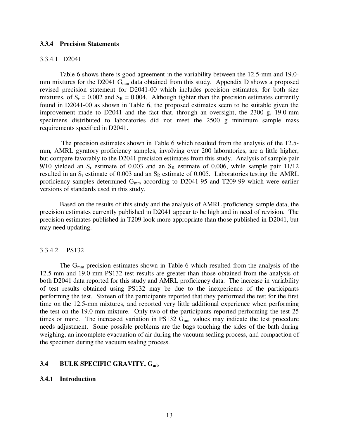#### **3.3.4 Precision Statements**

#### 3.3.4.1 D2041

Table 6 shows there is good agreement in the variability between the 12.5-mm and 19.0 mm mixtures for the D2041  $G<sub>mm</sub>$  data obtained from this study. Appendix D shows a proposed revised precision statement for D2041-00 which includes precision estimates, for both size mixtures, of  $S_r = 0.002$  and  $S_R = 0.004$ . Although tighter than the precision estimates currently found in D2041-00 as shown in Table 6, the proposed estimates seem to be suitable given the improvement made to D2041 and the fact that, through an oversight, the 2300 g, 19.0-mm specimens distributed to laboratories did not meet the 2500 g minimum sample mass requirements specified in D2041.

 The precision estimates shown in Table 6 which resulted from the analysis of the 12.5 mm, AMRL gyratory proficiency samples, involving over 200 laboratories, are a little higher, but compare favorably to the D2041 precision estimates from this study. Analysis of sample pair 9/10 yielded an  $S_r$  estimate of 0.003 and an  $S_R$  estimate of 0.006, while sample pair 11/12 resulted in an  $S_r$  estimate of 0.003 and an  $S_R$  estimate of 0.005. Laboratories testing the AMRL proficiency samples determined G<sub>mm</sub> according to D2041-95 and T209-99 which were earlier versions of standards used in this study.

Based on the results of this study and the analysis of AMRL proficiency sample data, the precision estimates currently published in D2041 appear to be high and in need of revision. The precision estimates published in T209 look more appropriate than those published in D2041, but may need updating.

#### 3.3.4.2 PS132

The  $G<sub>mm</sub>$  precision estimates shown in Table 6 which resulted from the analysis of the 12.5-mm and 19.0-mm PS132 test results are greater than those obtained from the analysis of both D2041 data reported for this study and AMRL proficiency data. The increase in variability of test results obtained using PS132 may be due to the inexperience of the participants performing the test. Sixteen of the participants reported that they performed the test for the first time on the 12.5-mm mixtures, and reported very little additional experience when performing the test on the 19.0-mm mixture. Only two of the participants reported performing the test 25 times or more. The increased variation in PS132  $G<sub>mm</sub>$  values may indicate the test procedure needs adjustment. Some possible problems are the bags touching the sides of the bath during weighing, an incomplete evacuation of air during the vacuum sealing process, and compaction of the specimen during the vacuum sealing process.

#### **3.4 BULK SPECIFIC GRAVITY, Gmb**

#### **3.4.1 Introduction**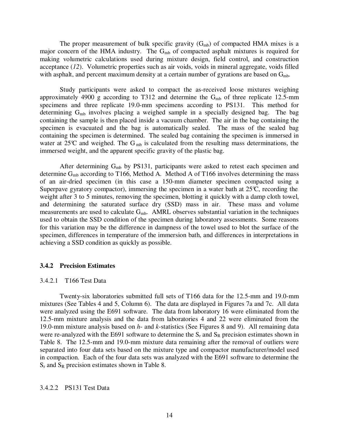The proper measurement of bulk specific gravity  $(G_{mb})$  of compacted HMA mixes is a major concern of the HMA industry. The  $G<sub>mb</sub>$  of compacted asphalt mixtures is required for making volumetric calculations used during mixture design, field control, and construction acceptance (*12*). Volumetric properties such as air voids, voids in mineral aggregate, voids filled with asphalt, and percent maximum density at a certain number of gyrations are based on  $G_{mb}$ .

Study participants were asked to compact the as-received loose mixtures weighing approximately 4900 g according to T312 and determine the  $G<sub>mb</sub>$  of three replicate 12.5-mm specimens and three replicate 19.0-mm specimens according to PS131. This method for determining  $G_{mb}$  involves placing a weighed sample in a specially designed bag. The bag containing the sample is then placed inside a vacuum chamber. The air in the bag containing the specimen is evacuated and the bag is automatically sealed. The mass of the sealed bag containing the specimen is determined. The sealed bag containing the specimen is immersed in water at  $25^{\circ}$  and weighed. The G<sub>mb</sub> is calculated from the resulting mass determinations, the immersed weight, and the apparent specific gravity of the plastic bag.

After determining  $G_{mb}$  by PS131, participants were asked to retest each specimen and determine  $G_{mb}$  according to T166, Method A. Method A of T166 involves determining the mass of an air-dried specimen (in this case a 150-mm diameter specimen compacted using a Superpave gyratory compactor), immersing the specimen in a water bath at  $25^{\circ}$ C, recording the weight after 3 to 5 minutes, removing the specimen, blotting it quickly with a damp cloth towel, and determining the saturated surface dry (SSD) mass in air. These mass and volume measurements are used to calculate  $G<sub>mb</sub>$ . AMRL observes substantial variation in the techniques used to obtain the SSD condition of the specimen during laboratory assessments. Some reasons for this variation may be the difference in dampness of the towel used to blot the surface of the specimen, differences in temperature of the immersion bath, and differences in interpretations in achieving a SSD condition as quickly as possible.

#### **3.4.2 Precision Estimates**

#### 3.4.2.1 T166 Test Data

Twenty-six laboratories submitted full sets of T166 data for the 12.5-mm and 19.0-mm mixtures (See Tables 4 and 5, Column 6). The data are displayed in Figures 7a and 7c. All data were analyzed using the E691 software. The data from laboratory 16 were eliminated from the 12.5-mm mixture analysis and the data from laboratories 4 and 22 were eliminated from the 19.0-mm mixture analysis based on *h*- and *k*-statistics (See Figures 8 and 9). All remaining data were re-analyzed with the E691 software to determine the  $S_r$  and  $S_R$  precision estimates shown in Table 8. The 12.5-mm and 19.0-mm mixture data remaining after the removal of outliers were separated into four data sets based on the mixture type and compactor manufacturer/model used in compaction. Each of the four data sets was analyzed with the E691 software to determine the  $S_r$  and  $S_R$  precision estimates shown in Table 8.

#### 3.4.2.2 PS131 Test Data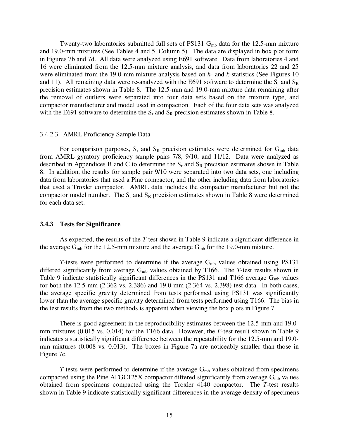Twenty-two laboratories submitted full sets of PS131  $G<sub>mb</sub>$  data for the 12.5-mm mixture and 19.0-mm mixtures (See Tables 4 and 5, Column 5). The data are displayed in box plot form in Figures 7b and 7d. All data were analyzed using E691 software. Data from laboratories 4 and 16 were eliminated from the 12.5-mm mixture analysis, and data from laboratories 22 and 25 were eliminated from the 19.0-mm mixture analysis based on *h*- and *k*-statistics (See Figures 10 and 11). All remaining data were re-analyzed with the E691 software to determine the  $S_r$  and  $S_R$ precision estimates shown in Table 8. The 12.5-mm and 19.0-mm mixture data remaining after the removal of outliers were separated into four data sets based on the mixture type, and compactor manufacturer and model used in compaction. Each of the four data sets was analyzed with the E691 software to determine the  $S_r$  and  $S_R$  precision estimates shown in Table 8.

#### 3.4.2.3 AMRL Proficiency Sample Data

For comparison purposes,  $S_r$  and  $S_R$  precision estimates were determined for  $G_{mb}$  data from AMRL gyratory proficiency sample pairs 7/8, 9/10, and 11/12. Data were analyzed as described in Appendices B and C to determine the  $S_r$  and  $S_R$  precision estimates shown in Table 8. In addition, the results for sample pair 9/10 were separated into two data sets, one including data from laboratories that used a Pine compactor, and the other including data from laboratories that used a Troxler compactor. AMRL data includes the compactor manufacturer but not the compactor model number. The  $S_r$  and  $S_R$  precision estimates shown in Table 8 were determined for each data set.

#### **3.4.3 Tests for Significance**

As expected, the results of the *T*-test shown in Table 9 indicate a significant difference in the average  $G_{mb}$  for the 12.5-mm mixture and the average  $G_{mb}$  for the 19.0-mm mixture.

*T*-tests were performed to determine if the average  $G_{mb}$  values obtained using PS131 differed significantly from average G<sub>mb</sub> values obtained by T166. The *T*-test results shown in Table 9 indicate statistically significant differences in the PS131 and T166 average  $G_{mb}$  values for both the 12.5-mm (2.362 vs. 2.386) and 19.0-mm (2.364 vs. 2.398) test data. In both cases, the average specific gravity determined from tests performed using PS131 was significantly lower than the average specific gravity determined from tests performed using T166. The bias in the test results from the two methods is apparent when viewing the box plots in Figure 7.

There is good agreement in the reproducibility estimates between the 12.5-mm and 19.0 mm mixtures (0.015 vs. 0.014) for the T166 data. However, the *F*-test result shown in Table 9 indicates a statistically significant difference between the repeatability for the 12.5-mm and 19.0 mm mixtures (0.008 vs. 0.013). The boxes in Figure 7a are noticeably smaller than those in Figure 7c.

*T*-tests were performed to determine if the average  $G_{mb}$  values obtained from specimens compacted using the Pine AFGC125X compactor differed significantly from average  $G_{mb}$  values obtained from specimens compacted using the Troxler 4140 compactor. The *T*-test results shown in Table 9 indicate statistically significant differences in the average density of specimens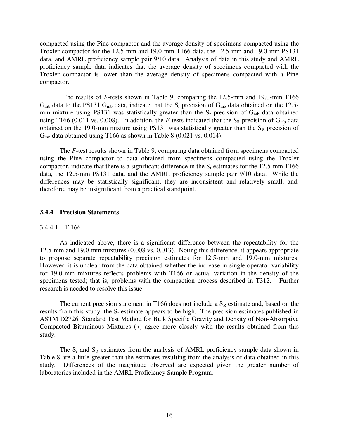compacted using the Pine compactor and the average density of specimens compacted using the Troxler compactor for the 12.5-mm and 19.0-mm T166 data, the 12.5-mm and 19.0-mm PS131 data, and AMRL proficiency sample pair 9/10 data. Analysis of data in this study and AMRL proficiency sample data indicates that the average density of specimens compacted with the Troxler compactor is lower than the average density of specimens compacted with a Pine compactor.

 The results of *F*-tests shown in Table 9, comparing the 12.5-mm and 19.0-mm T166  $G_{mb}$  data to the PS131  $G_{mb}$  data, indicate that the  $S_r$  precision of  $G_{mb}$  data obtained on the 12.5mm mixture using PS131 was statistically greater than the  $S_r$  precision of  $G_{mb}$  data obtained using T166 (0.011 vs. 0.008). In addition, the *F*-tests indicated that the  $S_R$  precision of  $G_{mb}$  data obtained on the 19.0-mm mixture using PS131 was statistically greater than the  $S_R$  precision of G<sub>mb</sub> data obtained using T166 as shown in Table 8 (0.021 vs. 0.014).

The *F*-test results shown in Table 9, comparing data obtained from specimens compacted using the Pine compactor to data obtained from specimens compacted using the Troxler compactor, indicate that there is a significant difference in the  $S_r$  estimates for the 12.5-mm T166 data, the 12.5-mm PS131 data, and the AMRL proficiency sample pair 9/10 data. While the differences may be statistically significant, they are inconsistent and relatively small, and, therefore, may be insignificant from a practical standpoint.

#### **3.4.4 Precision Statements**

#### 3.4.4.1 T 166

As indicated above, there is a significant difference between the repeatability for the 12.5-mm and 19.0-mm mixtures (0.008 vs. 0.013). Noting this difference, it appears appropriate to propose separate repeatability precision estimates for 12.5-mm and 19.0-mm mixtures. However, it is unclear from the data obtained whether the increase in single operator variability for 19.0-mm mixtures reflects problems with T166 or actual variation in the density of the specimens tested; that is, problems with the compaction process described in T312. Further research is needed to resolve this issue.

The current precision statement in T166 does not include a  $S_R$  estimate and, based on the results from this study, the  $S_r$  estimate appears to be high. The precision estimates published in ASTM D2726, Standard Test Method for Bulk Specific Gravity and Density of Non-Absorptive Compacted Bituminous Mixtures (*4*) agree more closely with the results obtained from this study.

The  $S_r$  and  $S_R$  estimates from the analysis of AMRL proficiency sample data shown in Table 8 are a little greater than the estimates resulting from the analysis of data obtained in this study. Differences of the magnitude observed are expected given the greater number of laboratories included in the AMRL Proficiency Sample Program.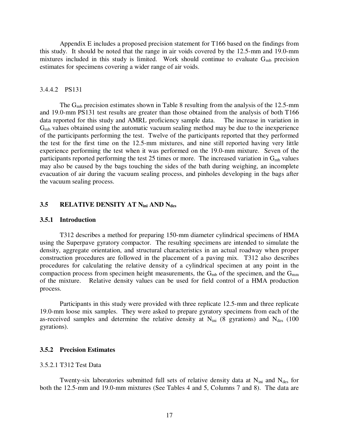Appendix E includes a proposed precision statement for T166 based on the findings from this study. It should be noted that the range in air voids covered by the 12.5-mm and 19.0-mm mixtures included in this study is limited. Work should continue to evaluate  $G_{mb}$  precision estimates for specimens covering a wider range of air voids.

#### 3.4.4.2 PS131

The  $G_{mb}$  precision estimates shown in Table 8 resulting from the analysis of the 12.5-mm and 19.0-mm PS131 test results are greater than those obtained from the analysis of both T166 data reported for this study and AMRL proficiency sample data. The increase in variation in  $G<sub>mb</sub>$  values obtained using the automatic vacuum sealing method may be due to the inexperience of the participants performing the test. Twelve of the participants reported that they performed the test for the first time on the 12.5-mm mixtures, and nine still reported having very little experience performing the test when it was performed on the 19.0-mm mixture. Seven of the participants reported performing the test 25 times or more. The increased variation in  $G_{mb}$  values may also be caused by the bags touching the sides of the bath during weighing, an incomplete evacuation of air during the vacuum sealing process, and pinholes developing in the bags after the vacuum sealing process.

### **3.5 RELATIVE DENSITY AT N<sub>ini</sub> AND N<sub>des</sub>**

#### **3.5.1 Introduction**

T312 describes a method for preparing 150-mm diameter cylindrical specimens of HMA using the Superpave gyratory compactor. The resulting specimens are intended to simulate the density, aggregate orientation, and structural characteristics in an actual roadway when proper construction procedures are followed in the placement of a paving mix. T312 also describes procedures for calculating the relative density of a cylindrical specimen at any point in the compaction process from specimen height measurements, the  $G_{\rm mb}$  of the specimen, and the  $G_{\rm mm}$ of the mixture. Relative density values can be used for field control of a HMA production process.

Participants in this study were provided with three replicate 12.5-mm and three replicate 19.0-mm loose mix samples. They were asked to prepare gyratory specimens from each of the as-received samples and determine the relative density at  $N_{\text{ini}}$  (8 gyrations) and  $N_{\text{des}}$  (100 gyrations).

#### **3.5.2 Precision Estimates**

#### 3.5.2.1 T312 Test Data

Twenty-six laboratories submitted full sets of relative density data at  $N_{\text{ini}}$  and  $N_{\text{des}}$  for both the 12.5-mm and 19.0-mm mixtures (See Tables 4 and 5, Columns 7 and 8). The data are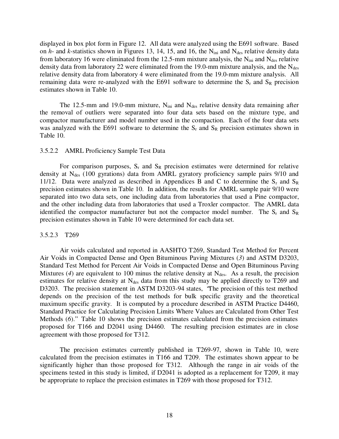displayed in box plot form in Figure 12. All data were analyzed using the E691 software. Based on  $h$ - and  $k$ -statistics shown in Figures 13, 14, 15, and 16, the N<sub>ini</sub> and N<sub>des</sub> relative density data from laboratory 16 were eliminated from the 12.5-mm mixture analysis, the  $N_{\text{ini}}$  and  $N_{\text{des}}$  relative density data from laboratory 22 were eliminated from the 19.0-mm mixture analysis, and the  $N_{des}$ relative density data from laboratory 4 were eliminated from the 19.0-mm mixture analysis. All remaining data were re-analyzed with the E691 software to determine the  $S_r$  and  $S_R$  precision estimates shown in Table 10.

The 12.5-mm and 19.0-mm mixture,  $N_{\text{ini}}$  and  $N_{\text{des}}$  relative density data remaining after the removal of outliers were separated into four data sets based on the mixture type, and compactor manufacturer and model number used in the compaction. Each of the four data sets was analyzed with the E691 software to determine the  $S_r$  and  $S_R$  precision estimates shown in Table 10.

#### 3.5.2.2 AMRL Proficiency Sample Test Data

For comparison purposes,  $S_r$  and  $S_R$  precision estimates were determined for relative density at  $N_{des}$  (100 gyrations) data from AMRL gyratory proficiency sample pairs 9/10 and 11/12. Data were analyzed as described in Appendices B and C to determine the  $S_r$  and  $S_R$ precision estimates shown in Table 10. In addition, the results for AMRL sample pair 9/10 were separated into two data sets, one including data from laboratories that used a Pine compactor, and the other including data from laboratories that used a Troxler compactor. The AMRL data identified the compactor manufacturer but not the compactor model number. The  $S_r$  and  $S_R$ precision estimates shown in Table 10 were determined for each data set.

#### 3.5.2.3 T269

Air voids calculated and reported in AASHTO T269, Standard Test Method for Percent Air Voids in Compacted Dense and Open Bituminous Paving Mixtures (*3*) and ASTM D3203, Standard Test Method for Percent Air Voids in Compacted Dense and Open Bituminous Paving Mixtures (4) are equivalent to 100 minus the relative density at  $N_{des}$ . As a result, the precision estimates for relative density at  $N_{des}$  data from this study may be applied directly to T269 and D3203. The precision statement in ASTM D3203-94 states, "The precision of this test method depends on the precision of the test methods for bulk specific gravity and the theoretical maximum specific gravity. It is computed by a procedure described in ASTM Practice D4460, Standard Practice for Calculating Precision Limits Where Values are Calculated from Other Test Methods (*6*)." Table 10 shows the precision estimates calculated from the precision estimates proposed for T166 and D2041 using D4460. The resulting precision estimates are in close agreement with those proposed for T312.

The precision estimates currently published in T269-97, shown in Table 10, were calculated from the precision estimates in T166 and T209. The estimates shown appear to be significantly higher than those proposed for T312. Although the range in air voids of the specimens tested in this study is limited, if D2041 is adopted as a replacement for T209, it may be appropriate to replace the precision estimates in T269 with those proposed for T312.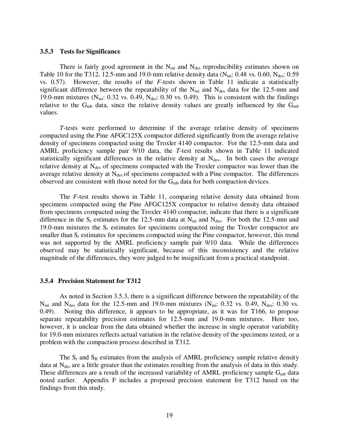#### **3.5.3 Tests for Significance**

There is fairly good agreement in the  $N_{\text{ini}}$  and  $N_{\text{des}}$  reproducibility estimates shown on Table 10 for the T312, 12.5-mm and 19.0-mm relative density data ( $N_{ini}$ : 0.48 vs. 0.60,  $N_{des}$ : 0.59 vs. 0.57). However, the results of the *F*-tests shown in Table 11 indicate a statistically significant difference between the repeatability of the  $N_{\text{ini}}$  and  $N_{\text{des}}$  data for the 12.5-mm and 19.0-mm mixtures (N<sub>ini</sub>: 0.32 vs. 0.49, N<sub>des</sub>: 0.30 vs. 0.49). This is consistent with the findings relative to the  $G_{mb}$  data, since the relative density values are greatly influenced by the  $G_{mb}$ values.

*T*-tests were performed to determine if the average relative density of specimens compacted using the Pine AFGC125X compactor differed significantly from the average relative density of specimens compacted using the Troxler 4140 compactor. For the 12.5-mm data and AMRL proficiency sample pair 9/10 data, the *T*-test results shown in Table 11 indicated statistically significant differences in the relative density at  $N_{des}$ . In both cases the average relative density at  $N_{des}$  of specimens compacted with the Troxler compactor was lower than the average relative density at  $N_{des}$  of specimens compacted with a Pine compactor. The differences observed are consistent with those noted for the  $G<sub>mb</sub>$  data for both compaction devices.

The *F*-test results shown in Table 11, comparing relative density data obtained from specimens compacted using the Pine AFGC125X compactor to relative density data obtained from specimens compacted using the Troxler 4140 compactor, indicate that there is a significant difference in the  $S_r$  estimates for the 12.5-mm data at  $N_{\text{ini}}$  and  $N_{\text{des}}$ . For both the 12.5-mm and 19.0-mm mixtures the  $S_r$  estimates for specimens compacted using the Troxler compactor are smaller than  $S_r$  estimates for specimens compacted using the Pine compactor, however, this trend was not supported by the AMRL proficiency sample pair 9/10 data. While the differences observed may be statistically significant, because of this inconsistency and the relative magnitude of the differences, they were judged to be insignificant from a practical standpoint.

#### **3.5.4 Precision Statement for T312**

As noted in Section 3.5.3, there is a significant difference between the repeatability of the  $N_{\text{ini}}$  and  $N_{\text{des}}$  data for the 12.5-mm and 19.0-mm mixtures ( $N_{\text{ini}}$ : 0.32 vs. 0.49,  $N_{\text{des}}$ : 0.30 vs. 0.49). Noting this difference, it appears to be appropriate, as it was for T166, to propose separate repeatability precision estimates for 12.5-mm and 19.0-mm mixtures. Here too, however, it is unclear from the data obtained whether the increase in single operator variability for 19.0-mm mixtures reflects actual variation in the relative density of the specimens tested, or a problem with the compaction process described in T312.

The  $S_r$  and  $S_R$  estimates from the analysis of AMRL proficiency sample relative density data at N<sub>des</sub> are a little greater than the estimates resulting from the analysis of data in this study. These differences are a result of the increased variability of AMRL proficiency sample  $G_{mb}$  data noted earlier. Appendix F includes a proposed precision statement for T312 based on the findings from this study.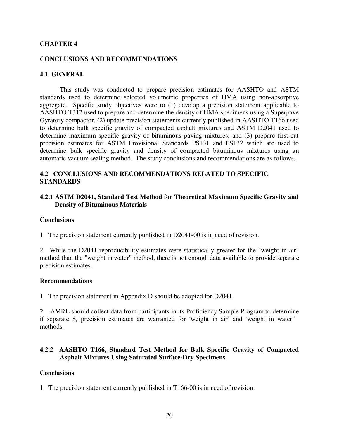### **CHAPTER 4**

### **CONCLUSIONS AND RECOMMENDATIONS**

### **4.1 GENERAL**

This study was conducted to prepare precision estimates for AASHTO and ASTM standards used to determine selected volumetric properties of HMA using non-absorptive aggregate. Specific study objectives were to (1) develop a precision statement applicable to AASHTO T312 used to prepare and determine the density of HMA specimens using a Superpave Gyratory compactor, (2) update precision statements currently published in AASHTO T166 used to determine bulk specific gravity of compacted asphalt mixtures and ASTM D2041 used to determine maximum specific gravity of bituminous paving mixtures, and (3) prepare first-cut precision estimates for ASTM Provisional Standards PS131 and PS132 which are used to determine bulk specific gravity and density of compacted bituminous mixtures using an automatic vacuum sealing method. The study conclusions and recommendations are as follows.

### **4.2 CONCLUSIONS AND RECOMMENDATIONS RELATED TO SPECIFIC STANDARDS**

### **4.2.1 ASTM D2041, Standard Test Method for Theoretical Maximum Specific Gravity and Density of Bituminous Materials**

#### **Conclusions**

1. The precision statement currently published in D2041-00 is in need of revision.

2. While the D2041 reproducibility estimates were statistically greater for the "weight in air" method than the "weight in water" method, there is not enough data available to provide separate precision estimates.

#### **Recommendations**

1. The precision statement in Appendix D should be adopted for D2041.

2. AMRL should collect data from participants in its Proficiency Sample Program to determine if separate  $S_r$  precision estimates are warranted for 'weight in air' and 'weight in water' methods.

### **4.2.2 AASHTO T166, Standard Test Method for Bulk Specific Gravity of Compacted Asphalt Mixtures Using Saturated Surface-Dry Specimens**

#### **Conclusions**

1. The precision statement currently published in T166-00 is in need of revision.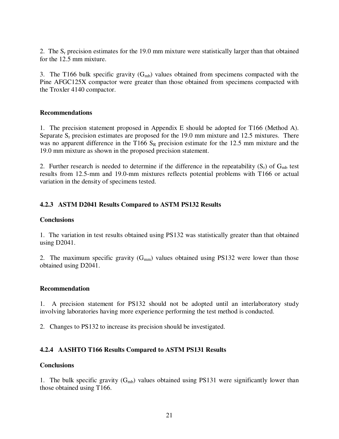2. The  $S_r$  precision estimates for the 19.0 mm mixture were statistically larger than that obtained for the 12.5 mm mixture.

3. The T166 bulk specific gravity  $(G_{mb})$  values obtained from specimens compacted with the Pine AFGC125X compactor were greater than those obtained from specimens compacted with the Troxler 4140 compactor.

### **Recommendations**

1. The precision statement proposed in Appendix E should be adopted for T166 (Method A). Separate  $S_r$  precision estimates are proposed for the 19.0 mm mixture and 12.5 mixtures. There was no apparent difference in the T166  $S_R$  precision estimate for the 12.5 mm mixture and the 19.0 mm mixture as shown in the proposed precision statement.

2. Further research is needed to determine if the difference in the repeatability  $(S_r)$  of  $G_{mb}$  test results from 12.5-mm and 19.0-mm mixtures reflects potential problems with T166 or actual variation in the density of specimens tested.

### **4.2.3 ASTM D2041 Results Compared to ASTM PS132 Results**

### **Conclusions**

1. The variation in test results obtained using PS132 was statistically greater than that obtained using D2041.

2. The maximum specific gravity  $(G_{mm})$  values obtained using PS132 were lower than those obtained using D2041.

#### **Recommendation**

1. A precision statement for PS132 should not be adopted until an interlaboratory study involving laboratories having more experience performing the test method is conducted.

2. Changes to PS132 to increase its precision should be investigated.

### **4.2.4 AASHTO T166 Results Compared to ASTM PS131 Results**

### **Conclusions**

1. The bulk specific gravity  $(G_{mb})$  values obtained using PS131 were significantly lower than those obtained using T166.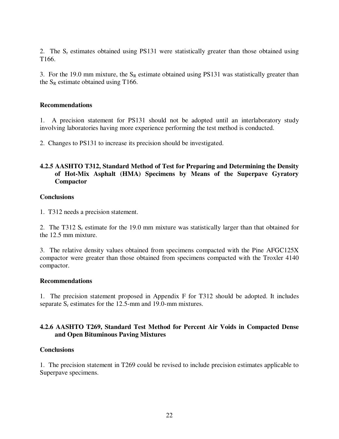2. The  $S_r$  estimates obtained using PS131 were statistically greater than those obtained using T166.

3. For the 19.0 mm mixture, the  $S_R$  estimate obtained using PS131 was statistically greater than the  $S_R$  estimate obtained using T166.

### **Recommendations**

1. A precision statement for PS131 should not be adopted until an interlaboratory study involving laboratories having more experience performing the test method is conducted.

2. Changes to PS131 to increase its precision should be investigated.

### **4.2.5 AASHTO T312, Standard Method of Test for Preparing and Determining the Density of Hot-Mix Asphalt (HMA) Specimens by Means of the Superpave Gyratory Compactor**

### **Conclusions**

1. T312 needs a precision statement.

2. The T312  $S_r$  estimate for the 19.0 mm mixture was statistically larger than that obtained for the 12.5 mm mixture.

3. The relative density values obtained from specimens compacted with the Pine AFGC125X compactor were greater than those obtained from specimens compacted with the Troxler 4140 compactor.

### **Recommendations**

1. The precision statement proposed in Appendix F for T312 should be adopted. It includes separate  $S_r$  estimates for the 12.5-mm and 19.0-mm mixtures.

### **4.2.6 AASHTO T269, Standard Test Method for Percent Air Voids in Compacted Dense and Open Bituminous Paving Mixtures**

### **Conclusions**

1. The precision statement in T269 could be revised to include precision estimates applicable to Superpave specimens.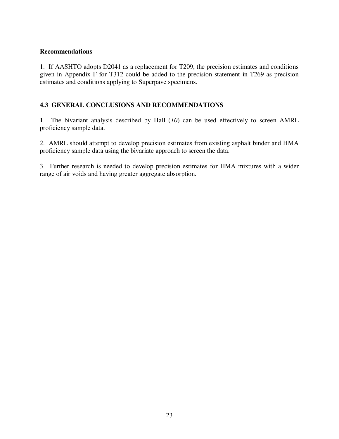### **Recommendations**

1. If AASHTO adopts D2041 as a replacement for T209, the precision estimates and conditions given in Appendix F for T312 could be added to the precision statement in T269 as precision estimates and conditions applying to Superpave specimens.

### **4.3 GENERAL CONCLUSIONS AND RECOMMENDATIONS**

1. The bivariant analysis described by Hall (*10*) can be used effectively to screen AMRL proficiency sample data.

2. AMRL should attempt to develop precision estimates from existing asphalt binder and HMA proficiency sample data using the bivariate approach to screen the data.

3. Further research is needed to develop precision estimates for HMA mixtures with a wider range of air voids and having greater aggregate absorption.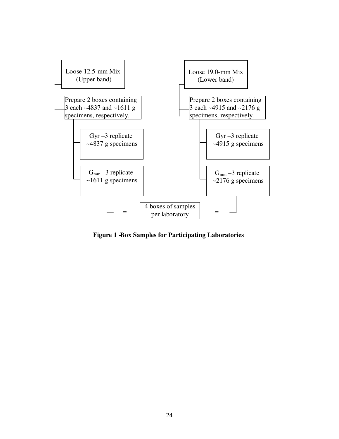

**Figure 1 –Box Samples for Participating Laboratories**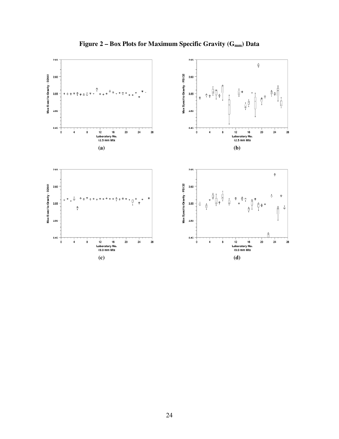

Figure 2 – Box Plots for Maximum Specific Gravity (G<sub>mm</sub>) Data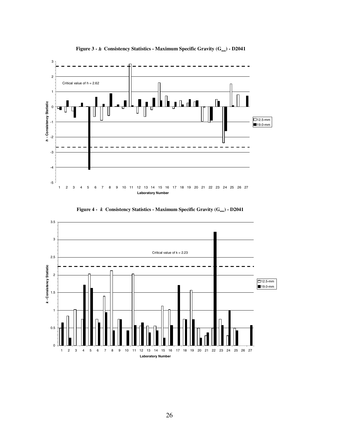

**Figure 3 -** *h* **Consistency Statistics - Maximum Specific Gravity (G<sub>mm</sub>) - D2041** 



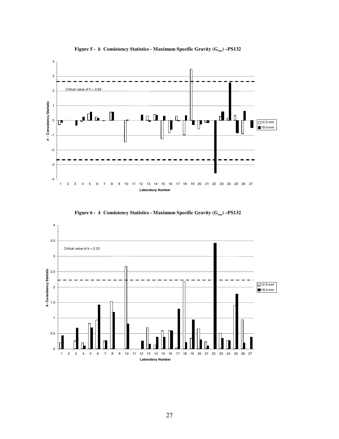

**Figure 5 -** *h* Consistency Statistics - Maximum Specific Gravity  $(G_{mn})$  –PS132



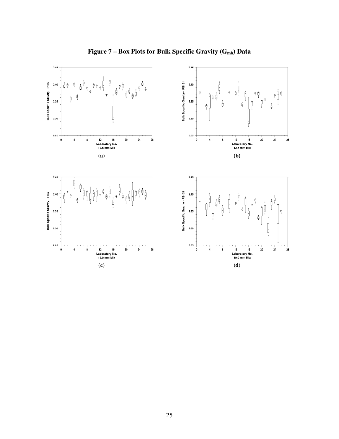

Figure 7 – Box Plots for Bulk Specific Gravity (G<sub>mb</sub>) Data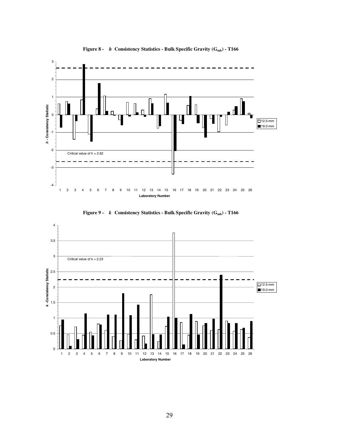





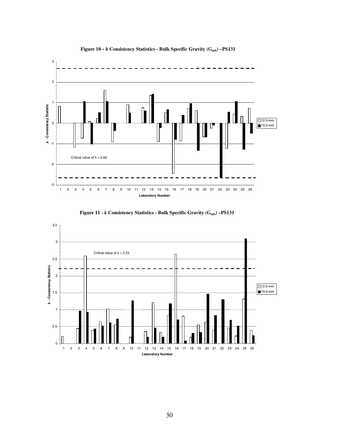

Figure 10 - *h* Consistency Statistics - Bulk Specific Gravity (G<sub>mb</sub>) – PS131



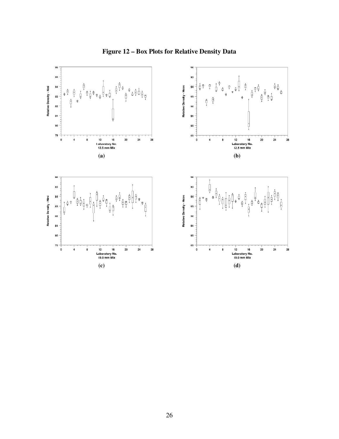

**Figure 12 – Box Plots for Relative Density Data**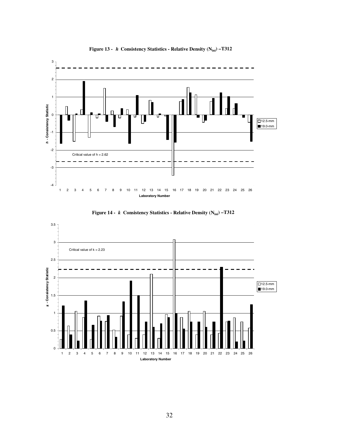

Figure 13 - *h* Consistency Statistics - Relative Density (N<sub>ini</sub>) –T312



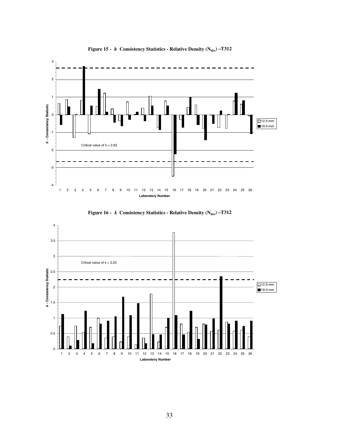





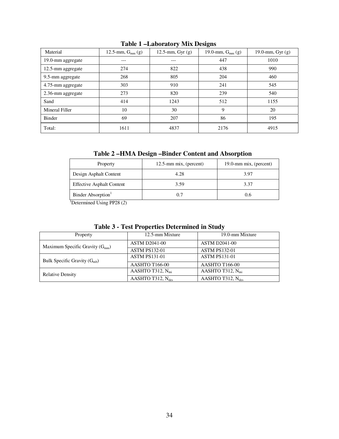| Material          | 12.5-mm, $G_{mm}$ (g) | 12.5-mm, $Gyr(g)$ | 19.0-mm, $G_{mm}$ (g) | 19.0-mm, Gyr $(g)$ |
|-------------------|-----------------------|-------------------|-----------------------|--------------------|
| 19.0-mm aggregate | ---                   | $---$             | 447                   | 1010               |
| 12.5-mm aggregate | 274                   | 822               | 438                   | 990                |
| 9.5-mm aggregate  | 268                   | 805               | 204                   | 460                |
| 4.75-mm aggregate | 303                   | 910               | 241                   | 545                |
| 2.36-mm aggregate | 273                   | 820               | 239                   | 540                |
| Sand              | 414                   | 1243              | 512                   | 1155               |
| Mineral Filler    | 10                    | 30                | 9                     | 20                 |
| Binder            | 69                    | 207               | 86                    | 195                |
| Total:            | 1611                  | 4837              | 2176                  | 4915               |

# **Table 1 – Laboratory Mix Designs**

**Table 2 – HMA Design – Binder Content and Absorption** 

| $12.5$ -mm mix, (percent) | 19.0-mm mix, (percent) |  |  |  |
|---------------------------|------------------------|--|--|--|
| 4.28                      | 3.97                   |  |  |  |
| 3.59                      | 3.37                   |  |  |  |
| 0.7                       | 0.6                    |  |  |  |
|                           |                        |  |  |  |

1 Determined Using PP28 (*2*)

| Property                            | 12.5-mm Mixture               | 19.0-mm Mixture               |  |  |
|-------------------------------------|-------------------------------|-------------------------------|--|--|
| Maximum Specific Gravity $(G_{mm})$ | <b>ASTM D2041-00</b>          | <b>ASTM D2041-00</b>          |  |  |
|                                     | <b>ASTM PS132-01</b>          | <b>ASTM PS132-01</b>          |  |  |
| Bulk Specific Gravity $(G_{mb})$    | <b>ASTM PS131-01</b>          | <b>ASTM PS131-01</b>          |  |  |
|                                     | AASHTO T166-00                | AASHTO T166-00                |  |  |
| <b>Relative Density</b>             | AASHTO T312, $N_{\text{ini}}$ | AASHTO T312, $N_{\text{ini}}$ |  |  |
|                                     | AASHTO T312, $N_{des}$        | AASHTO T312, $N_{des}$        |  |  |

### **Table 3 - Test Properties Determined in Study**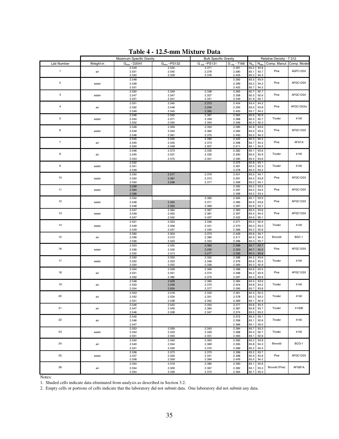|                  |           | TANIC T                  | 12.0 пши глихсаг с Даса |                              |                        |                  |                  |                          |             |
|------------------|-----------|--------------------------|-------------------------|------------------------------|------------------------|------------------|------------------|--------------------------|-------------|
|                  |           | Maximum Specific Gravity |                         | <b>Bulk Specific Gravity</b> |                        |                  |                  | Relative Density - T 312 |             |
| Lab Number       | Weight in | $Gmm - D2041$            | $Gmm - PS132$           | $G_{mb}$ -PS131              | G <sub>mb</sub> - T166 | $N_{\text{ini}}$ | $N_{\text{des}}$ | Comp. Manuf.             | Comp. Model |
|                  |           | 2.549                    | 2.534                   | 2.371                        | 2.391                  | 83.2             | 93.8             |                          |             |
| $\mathbf{1}$     | air       | 2.551                    | 2.540                   | 2.378                        | 2.390                  | 83.1             | 93.7             | Pine                     | AGFC125X    |
|                  |           | 2.550                    | 2.539                   | 2.376                        | 2.405                  | 83.3             | 94.3             |                          |             |
|                  |           | 2.548                    |                         |                              | 2.392                  | 83.5             | 93.9             |                          |             |
| $\overline{c}$   |           | 2.548                    |                         |                              | 2.399                  | 83.2             | 94.2             | Pine                     | AFGC125X    |
|                  | water     |                          |                         |                              |                        |                  |                  |                          |             |
|                  |           | 2.551                    |                         |                              | 2.402                  | 83.7             | 94.2             |                          |             |
| 3                |           | 2.550                    | 2.549                   | 2.338                        | 2.365                  | 82.7             | 92.7             |                          | AFGC125X    |
|                  | water     | 2.547                    | 2.547                   | 2.327                        | 2.358                  | 82.5             | 92.6             | Pine                     |             |
|                  |           | 2.551                    | 2.541                   | 2.341                        | 2.349                  | 81.9             | 92.1             |                          |             |
|                  |           | 2.551                    | 2.540                   | 2.373                        | 2.404                  | 83.4             | 94.2             |                          |             |
| $\sqrt{4}$       | air       | 2.552                    | 2.546                   | 2.294                        | 2.394                  | 83.0             | 93.8             | Pine                     | AFGC125Xa   |
|                  |           | 2.549                    | 2.545                   | 2.365                        | 2.400                  | 83.7             | 94.2             |                          |             |
|                  |           | 2.546                    | 2.545                   | 2.367                        | 2.364                  | 82.6             | 92.9             |                          |             |
| $\mathbf 5$      | water     | 2.554                    | 2.571                   | 2.359                        | 2.368                  | 82.5             | 92.7             | Troxler                  | 4140        |
|                  |           | 2.552                    | 2.555                   | 2.354                        | 2.356                  | 82.4             | 92.3             |                          |             |
|                  |           | 2.548                    | 2.559                   | 2.354                        | 2.385                  | 82.8             | 93.6             |                          |             |
| $\boldsymbol{6}$ | water     | 2.549                    | 2.534                   | 2.360                        | 2.384                  | 83.0             | 93.5             | Pine                     | AFGC125X    |
|                  |           | 2.546                    | 2.561                   | 2.375                        | 2.400                  | 83.5             | 94.3             |                          |             |
|                  |           | 2.545                    | 2.540                   | 2.390                        | 2.402                  | 84.3             | 94.4             |                          |             |
| $\overline{7}$   | air       | 2.545                    | 2.545                   | 2.373                        | 2.398                  | 83.7             | 94.2             | Pine                     | AFG1A       |
|                  |           | 2.550                    | 2.548                   | 2.407                        | 2.411                  | 84.1             | 94.5             |                          |             |
|                  |           | 2.546                    | 2.573                   | 2.335                        | 2.382                  | 83.1             | 93.6             |                          |             |
| 8                | air       | 2.545                    | 2.531                   | 2.335                        | 2.390                  | 83.5             | 93.9             | Troxler                  | 4140        |
|                  |           |                          |                         |                              |                        | 83.4             | 93.6             |                          |             |
|                  |           | 2.553                    | 2.575                   | 2.351                        | 2.390                  |                  |                  |                          |             |
| $\boldsymbol{9}$ |           | 2.552                    |                         |                              | 2.375                  | 82.8             | 93.1             | Troxler                  | 4140        |
|                  | water     | 2.551                    |                         |                              | 2.381                  | 83.5             | 93.3             |                          |             |
|                  |           | 2.549                    |                         |                              | 2.378                  | 83.0             | 93.2             |                          |             |
|                  |           | 2.550                    | 2.517                   | 2.379                        | 2.401                  | 83.5             | 94.1             |                          |             |
| 10               | water     | 2.550                    | 2.461                   | 2.373                        | 2.391                  | 83.4             | 93.8             | Pine                     | AFGC125X    |
|                  |           | 2.550                    | 2.546                   | 2.377                        | 2.399                  | 83.2             | 94.1             |                          |             |
|                  |           | 2.558                    |                         |                              | 2.392                  | 83.2             | 93.5             |                          |             |
| 11               | water     | 2.564                    |                         |                              | 2.397                  | 83.0             | 93.5             | Pine                     | AFGC125X    |
|                  |           | 2.566                    |                         |                              | 2.398                  | 83.2             | 93.4             |                          |             |
|                  |           | 2.550                    |                         | 2.380                        | 2.394                  | 83.1             | 93.9             |                          |             |
| 12               | water     | 2.548                    | 2.555                   | 2.371                        | 2.385                  | 82.9             | 93.6             | Pine                     | AFGC125X    |
|                  |           | 2.548                    | 2.563                   | 2.369                        | 2.387                  | 82.8             | 93.7             |                          |             |
|                  |           | 2.547                    | 2.564                   | 2.367                        | 2.383                  | 83.0             | 93.6             |                          |             |
| 13               | water     | 2.549                    | 2.552                   | 2.381                        | 2.397                  | 83.4             | 94.0             | Pine                     | AFGC125X    |
|                  |           | 2.547                    | 2.542                   | 2.407                        | 2.422                  | 84.6             | 95.1             |                          |             |
|                  |           | 2.551                    | 2.553                   | 2.346                        | 2.371                  | 83.2             | 92.9             |                          |             |
| 14               | water     | 2.549                    | 2.556                   | 2.341                        | 2.370                  | 83.0             | 93.0             | Troxler                  | 4140        |
|                  |           | 2.549                    | 2.557                   | 2.335                        | 2.366                  | 83.2             | 92.8             |                          |             |
|                  |           |                          | 2.504                   | 2.373                        |                        | 83.6             | 94.1             |                          |             |
| 15               | air       | 2.560<br>2.556           | 2.512                   | 2.380                        | 2.409<br>2.411         | 82.9             | 94.3             | Brovold                  | BGC-1       |
|                  |           | 2.556                    | 2.523                   | 2.353                        | 2.396                  | 83.0             | 93.7             |                          |             |
|                  |           |                          |                         |                              |                        |                  |                  |                          |             |
| 16               |           | 2.553                    | 2.525                   | 2.360                        | 2.368                  | 82.7             | 92.7             | Pine                     | AFGC125X    |
|                  | water     | 2.556                    | 2.532                   | 2.292                        | 2.303                  | 80.7             | 90.2             |                          |             |
|                  |           | 2.552                    | 2.513                   | 2.277                        | 2.289                  | 80.5             | 89.6             |                          |             |
|                  |           | 2.550                    | 2.553                   | 2.352                        | 2.388                  | 84.0             | 93.6             |                          |             |
| 17               | water     | 2.550                    | 2.553                   | 2.346                        | 2.376                  | 83.6             | 93.2             | Troxler                  | 4140        |
|                  |           | 2.550                    | 2.552                   | 2.326                        | 2.369                  | 83.3             | 92.9             |                          |             |
|                  |           | 2.554                    | 2.528                   | 2.369                        | 2.388                  | 83.6             | 93.5             |                          |             |
| 18               | air       | 2.551                    | 2.551                   | 2.374                        | 2.396                  | 84.2             | 93.9             | Pine                     | AFGC125X    |
|                  |           | 2.552                    | 2.482                   | 2.375                        | 2.397                  | 84.4             | 93.9             |                          |             |
|                  |           | 2.548                    | 2.628                   | 2.360                        | 2.384                  | 84.0             | 93.6             |                          |             |
| 19               | air       | 2.553                    | 2.639                   | 2.375                        | 2.404                  | 83.8             | 94.2             | Troxler                  | 4140        |
|                  |           | 2.554                    | 2.634                   | 2.377                        | 2.395                  | 83.7             | 93.8             |                          |             |
|                  |           | 2.553                    | 2.518                   | 2.333                        | 2.361                  | 82.5             | 92.5             |                          |             |
| 20               | air       | 2.552                    | 2.534                   | 2.351                        | 2.378                  | 83.3             | 93.2             | Troxler                  | 4140        |
|                  |           | 2.551                    | 2.538                   | 2.352                        | 2.369                  | 83.1             | 92.9             |                          |             |
|                  |           | 2.546                    | 2.543                   | 2.354                        | 2.377                  | 83.6             | 93.4             |                          |             |
| 21               | air       | 2.547                    | 2.545                   | 2.360                        | 2.387                  | 83.8             | 93.7             | Troxler                  | 4140B       |
|                  |           | 2.546                    | 2.538                   | 2.347                        | 2.374                  | 83.5             | 93.2             |                          |             |
|                  |           |                          |                         |                              |                        |                  |                  |                          |             |
| 22               |           | 2.545                    |                         |                              | 2.372                  | 83.4             | 93.1             | Troxler                  | 4140        |
|                  | air       | 2.546                    |                         |                              | 2.358                  | 83.1             | 92.6             |                          |             |
|                  |           | 2.547                    |                         |                              | 2.366                  | 83.1             | 93.0             |                          |             |
|                  |           | 2.553                    | 2.559                   | 2.343                        | 2.384                  | 83.7             | 93.3             |                          |             |
| 23               | water     | 2.554                    | 2.543                   | 2.329                        | 2.368                  | 83.4             | 92.7             | Troxler                  | 4140        |
|                  |           | 2.551                    | 2.555                   | 2.331                        | 2.365                  | 83.1             | 92.6             |                          |             |
|                  |           | 2.540                    | 2.545                   | 2.363                        | 2.382                  | 83.2             | 93.8             |                          |             |
| 24               | air       | 2.540                    | 2.554                   | 2.369                        | 2.395                  | 83.8             | 94.3             | Brovold                  | BCG-1       |
|                  |           | 2.541                    | 2.549                   | 2.370                        | 2.389                  | 83.2             | 94.0             |                          |             |
|                  |           | 2.556                    | 2.573                   | 2.370                        | 2.396                  | 83.2             | 93.7             |                          |             |
| 25               | water     | 2.557                    | 2.529                   | 2.341                        | 2.398                  | 82.9             | 93.8             | Pine                     | AFGC125X    |
|                  |           | 2.558                    | 2.559                   | 2.384                        | 2.409                  | 83.5             | 94.2             |                          |             |
|                  |           | 2.554                    | 2.519                   | 2.380                        | 2.390                  | 83.1             | 93.6             |                          |             |
| 26               | air       | 2.554                    | 2.509                   | 2.367                        | 2.382                  | 83.1             | 93.3             | Brovold (Pine)           | AFGB1A      |
|                  |           | 2.554                    | 2.539                   | 2.372                        | 2.384                  | 82.7             | 93.3             |                          |             |

**Table 4 - 12.5-mm Mixture Data** 

Notes:

1. Shaded cells indicate data eliminated from analysis as described in Section 3.2.

2. Empty cells or portions of cells indicate that the laboratory did not submit data. One laboratory did not submit any data.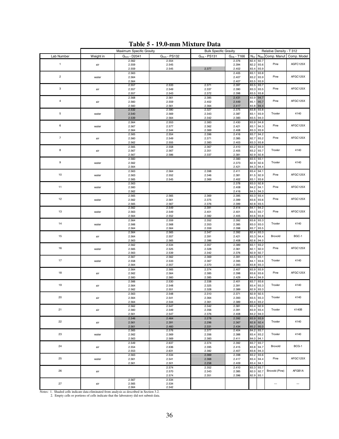|                  | Maximum Specific Gravity |                  | <b>Bulk Specific Gravity</b> |                |                 |                  | Relative Density - T 312 |                |             |
|------------------|--------------------------|------------------|------------------------------|----------------|-----------------|------------------|--------------------------|----------------|-------------|
| Lab Number       | Weight in                | $G_{mm}$ - D2041 | $Gmm - PS132$                | $Gmb - PS131$  | $G_{mb}$ - T166 | $N_{\text{ini}}$ | $N_{de}$                 | Comp. Manuf.   | Comp. Model |
|                  |                          | 2.562            | 2.554                        |                | 2.376           | 82.4             | 92.7                     |                |             |
| $\mathbf{1}$     | air                      | 2.559            | 2.545                        |                | 2.394           | 82.2             | 93.6                     | Pine           | AGFC125X    |
|                  |                          | 2.559            | 2.545                        | 2.377          | 2.402           | 83.4             | 93.9                     |                |             |
|                  |                          | 2.563            |                              |                | 2.405           | 83.1             | 93.8                     |                |             |
| $\mathbf 2$      | water                    | 2.564            |                              |                | 2.407           | 83.2             | 93.9                     | Pine           | AFGC125X    |
|                  |                          | 2.564            |                              |                | 2.407           | 83.5             | 93.9                     |                |             |
| $_{\rm 3}$       |                          | 2.557            | 2.533                        | 2.371          | 2.397           | 83.5             | 93.7                     | Pine           | AFGC125X    |
|                  | air                      | 2.557            | 2.549                        | 2.337          | 2.390           | 83.3<br>83.5     | 93.5<br>93.8             |                |             |
|                  |                          | 2.557            | 2.543                        | 2.372          | 2.398           |                  |                          |                |             |
| $\pmb{4}$        | air                      | 2.568<br>2.560   | 2.561<br>2.559               | 2.385<br>2.402 | 2.431<br>2.449  | 83.9<br>85.1     | 94.7<br>95.7             | Pine           | AFGC125X    |
|                  |                          | 2.560            | 2.561                        | 2.364          | 2.417           | 83.8             | 94.4                     |                |             |
|                  |                          | 2.532            | 2.580                        | 2.327          | 2.375           | 83.8             | 93.8                     |                |             |
| 5                | water                    | 2.540            | 2.569                        | 2.343          | 2.387           | 83.1             | 93.9                     | Troxler        | 4140        |
|                  |                          | 2.539            | 2.564                        | 2.342          | 2.383           | 83.5             | 94.0                     |                |             |
|                  |                          | 2.564            | 2.553                        | 2.383          | 2.430           | 83.9             | 94.8                     |                |             |
| $\boldsymbol{6}$ | water                    | 2.567            | 2.577                        | 2.362          | 2.421           | 83.1             | 94.3                     | Pine           | AFGC125X    |
|                  |                          | 2.564            | 2.544                        | 2.369          | 2.408           | 83.3             | 93.9                     |                |             |
|                  |                          | 2.565            | 2.554                        | 2.396          | 2.416           | 83.7             | 94.2                     |                |             |
| $\boldsymbol{7}$ | air                      | 2.560            | 2.549                        | 2.371          | 2.385           | 82.7             | 93.2                     | Pine           | AFGC125X    |
|                  |                          | 2.562            | 2.555                        | 2.383          | 2.403           | 83.3             | 93.8                     |                |             |
|                  |                          | 2.565            | 2.558                        | 2.367          | 2.410           | 83.2             | 93.9                     |                |             |
| 8                | air                      | 2.567            | 2.567                        | 2.351          | 2.405           | 83.2             | 93.7                     | Troxler        | 4140        |
|                  |                          | 2.567            | 2.586                        | 2.337          | 2.381           | 82.9             | 92.8                     |                |             |
| $\boldsymbol{9}$ |                          | 2.560            |                              |                | 2.383           | 83.5             | 93.1                     |                |             |
|                  | water                    | 2.562            |                              |                | 2.373           | 82.9             | 92.6                     | Troxler        | 4140        |
|                  |                          | 2.564            |                              |                | 2.421           | 84.3             | 94.4                     |                |             |
|                  |                          | 2.563            | 2.564                        | 2.398          | 2.411           | 83.4             | 94.1                     |                | AFGC125X    |
| 10               | water                    | 2.563            | 2.552                        | 2.346          | 2.381           | 81.5             | 92.9                     | Pine           |             |
|                  |                          | 2.565            | 2.545                        | 2.369          | 2.402           | 83.1             | 93.6                     |                |             |
| 11               |                          | 2.563            |                              |                | 2.378           | 83.0             | 92.8                     | Pine           | AFGC125X    |
|                  | water                    | 2.560            |                              |                | 2.408           | 84.2             | 94.1                     |                |             |
|                  |                          | 2.562            |                              |                | 2.416           | 84.5             | 94.3                     |                |             |
| 12               |                          | 2.565            | 2.565                        | 2.369          | 2.395           | 83.3             | 93.4                     | Pine           | AFGC125X    |
|                  | water                    | 2.562            | 2.561                        | 2.375          | 2.399<br>2.399  | 83.6<br>82.8     | 93.6<br>93.5             |                |             |
|                  |                          | 2.565<br>2.562   | 2.567<br>2.549               | 2.376          | 2.414           | 84.1             | 94.2                     |                |             |
| 13               | water                    | 2.563            | 2.549                        | 2.391<br>2.401 | 2.401           | 83.5             | 93.7                     | Pine           | AFGC125X    |
|                  |                          | 2.564            | 2.552                        | 2.382          | 2.405           | 83.6             | 93.8                     |                |             |
|                  |                          | 2.564            | 2.559                        | 2.352          | 2.392           | 83.6             | 93.3                     |                |             |
| 14               | water                    | 2.566            | 2.568                        | 2.353          | 2.385           | 83.0             | 93.0                     | Troxler        | 4140        |
|                  |                          | 2.564            | 2.564                        | 2.359          | 2.398           | 83.7             | 93.5                     |                |             |
|                  |                          | 2.564            | 2.565                        | 2.347          | 2.392           | 82.4             | 93.3                     |                |             |
| 15               | air                      | 2.564            | 2.557                        | 2.391          | 2.421           | 83.3             | 94.4                     | Brovold        | BGC-1       |
|                  |                          | 2.563            | 2.565                        | 2.386          | 2.408           | 82.6             | 94.0                     |                |             |
|                  |                          | 2.562            | 2.534                        | 2.357          | 2.389           | 83.1             | 93.2                     |                |             |
| 16               | water                    | 2.565            | 2.525                        | 2.328          | 2.361           | 82.1             | 92.0                     | Pine           | AFGC125X    |
|                  |                          | 2.563            | 2.539                        | 2.342          | 2.376           | 82.9             | 92.7                     |                |             |
|                  |                          | 2.567            | 2.562                        | 2.369          | 2.391           | 83.5             | 93.1                     |                |             |
| 17               | water                    | 2.558            | 2.533                        | 2.367          | 2.395           | 84.1             | 93.6                     | Troxler        | 4140        |
|                  |                          | 2.564            | 2.557                        | 2.370          | 2.393           | 83.8             | 93.3                     |                |             |
|                  |                          | 2.564            | 2.565                        | 2.374          | 2.407           | 83.9             | 93.9                     |                |             |
| 18               | air                      | 2.562            | 2.564                        | 2.385          | 2.398           | 83.6             | 93.6                     | Pine           | AFGC125X    |
|                  |                          | 2.560            | 2.560                        | 2.385          | 2.429           | 84.4             | 94.9                     |                |             |
|                  |                          | 2.566            | 2.530                        | 2.338          | 2.401           | 83.7             | 93.6                     |                |             |
| 19               | air                      | 2.564            | 2.548                        | 2.325          | 2.391           | 83.4             | 93.3                     | Troxler        | 4140        |
|                  |                          | 2.562            | 2.551                        | 2.328          | 2.389           | 82.9             | 93.3                     |                |             |
| 20               |                          | 2.563            | 2.548                        | 2.310          | 2.371           | 82.9             | 92.5                     | Troxler        | 4140        |
|                  | air                      | 2.564            | 2.541                        | 2.364          | 2.393           | 83.5 93.3        |                          |                |             |
|                  |                          | 2.564            | 2.544                        | 2.361          | 2.389           | 83.4             | 93.2                     |                |             |
| 21               |                          | 2.562<br>2.560   | 2.547                        | 2.342<br>2.356 | 2.381<br>2.391  | 83.4<br>83.9     | 92.9<br>93.4             | Troxler        | 4140B       |
|                  | air                      | 2.561            | 2.549<br>2.547               | 2.376          | 2.408           | 84.2             | 94.0                     |                |             |
|                  |                          | 2.546            | 2.464                        | 2.278          | 2.392           | 83.9             | 93.9                     |                |             |
| 22               | air                      | 2.561            | 2.391                        | 2.296          | 2.367           | 82.8             | 92.4                     | Troxler        | 4140        |
|                  |                          | 2.561            | 2.460                        | 2.331          | 2.434           | 85.2             | 95.0                     |                |             |
|                  |                          | 2.565            | 2.576                        | 2.377          | 2.404           | 84.2             | 93.7                     |                |             |
| 23               | water                    | 2.562            | 2.569                        | 2.356          | 2.388           | 83.4             | 93.2                     | Troxler        | 4140        |
|                  |                          | 2.563            | 2.569                        | 2.383          | 2.411           | 84.0             | 94.1                     |                |             |
|                  |                          | 2.549            | 2.637                        | 2.374          | 2.392           | 83.7             | 93.7                     |                |             |
| 24               | air                      | 2.554            | 2.636                        | 2.395          | 2.415           | 83.8             | 94.7                     | Brovold        | BCG-1       |
|                  |                          | 2.553            | 2.631                        | 2.382          | 2.407           | 83.6             | 94.3                     |                |             |
|                  |                          | 2.563            | 2.534                        | 2.369          | 2.398           | 83.2             | 93.6                     |                |             |
| 25               | water                    | 2.561            | 2.541                        | 2.368          | 2.417           | 83.4             | 94.4                     | Pine           | AFGC125X    |
|                  |                          | 2.561            | 2.501                        | 2.258          | 2.409           | 83.4             | 94.1                     |                |             |
|                  |                          |                  | 2.574                        | 2.352          | 2.410           | 83.3             | 93.7                     |                |             |
| 26               | air                      |                  | 2.570                        | 2.343          | 2.385           | 82.0             | 92.7                     | Brovold (Pine) | AFGB1A      |
|                  |                          |                  | 2.574                        | 2.351          | 2.396           | 82.9             | 93.1                     |                |             |
|                  |                          | 2.567            | 2.534                        |                |                 |                  |                          |                |             |
| 27               | air                      | 2.565            | 2.534                        |                |                 |                  |                          |                | ---         |
|                  |                          | 2.564            | 2.542                        |                |                 |                  |                          |                |             |

**Table 5 - 19.0-mm Mixture Data** 

2.564 2.542 Notes: 1. Shaded cells indicate data eliminated from analysis as described in Section 3.2. 2. Empty cells or portions of cells indicate that the laboratory did not submit data.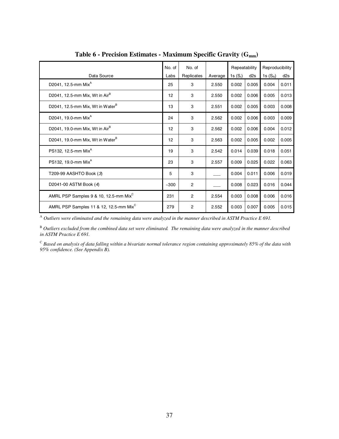|                                                    | No. of | No. of         | Repeatability |            |       |            |       |  | Reproducibility |
|----------------------------------------------------|--------|----------------|---------------|------------|-------|------------|-------|--|-----------------|
| Data Source                                        | Labs   | Replicates     | Average       | 1s $(S_r)$ | d2s   | 1s $(S_R)$ | d2s   |  |                 |
| D2041, 12.5-mm Mix <sup>A</sup>                    | 25     | 3              | 2.550         | 0.002      | 0.005 | 0.004      | 0.011 |  |                 |
| D2041, 12.5-mm Mix, Wt in $AirB$                   | 12     | 3              | 2.550         | 0.002      | 0.006 | 0.005      | 0.013 |  |                 |
| D2041, 12.5-mm Mix, Wt in Water <sup>B</sup>       | 13     | 3              | 2.551         | 0.002      | 0.005 | 0.003      | 0.008 |  |                 |
| D2041, 19.0-mm Mix <sup>A</sup>                    | 24     | 3              | 2.562         | 0.002      | 0.006 | 0.003      | 0.009 |  |                 |
| D2041, 19.0-mm Mix, Wt in $AirB$                   | 12     | 3              | 2.562         | 0.002      | 0.006 | 0.004      | 0.012 |  |                 |
| D2041, 19.0-mm Mix, Wt in Water <sup>B</sup>       | 12     | 3              | 2.563         | 0.002      | 0.005 | 0.002      | 0.005 |  |                 |
| PS132, 12.5-mm Mix <sup>A</sup>                    | 19     | 3              | 2.542         | 0.014      | 0.039 | 0.018      | 0.051 |  |                 |
| PS132, 19.0-mm Mix <sup>A</sup>                    | 23     | 3              | 2.557         | 0.009      | 0.025 | 0.022      | 0.063 |  |                 |
| T209-99 AASHTO Book (3)                            | 5      | 3              |               | 0.004      | 0.011 | 0.006      | 0.019 |  |                 |
| D2041-00 ASTM Book (4)                             | $-300$ | $\overline{2}$ |               | 0.008      | 0.023 | 0.016      | 0.044 |  |                 |
| AMRL PSP Samples 9 & 10, 12.5-mm Mix <sup>C</sup>  | 231    | $\overline{2}$ | 2.554         | 0.003      | 0.008 | 0.006      | 0.016 |  |                 |
| AMRL PSP Samples 11 & 12, 12.5-mm Mix <sup>C</sup> | 279    | 2              | 2.552         | 0.003      | 0.007 | 0.005      | 0.015 |  |                 |

**Table 6 - Precision Estimates - Maximum Specific Gravity (Gmm)**

<sup>A</sup> *Outliers were eliminated and the remaining data were analyzed in the manner described in ASTM Practice E 691.* 

<sup>B</sup> Outliers excluded from the combined data set were eliminated. The remaining data were analyzed in the manner described *in ASTM Practice E 691.*

<sup>C</sup> *Based on analysis of data falling within a bivariate normal tolerance region containing approximately 85% of the data with 95% confidence. (See Appendix B).*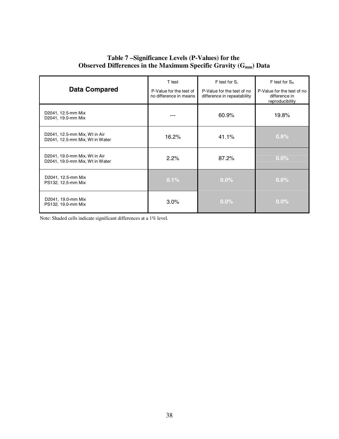### **Table 7 – Significance Levels (P-Values) for the Observed Differences in the Maximum Specific Gravity (G<sub>mm</sub>) Data**

|                                                                  | T test                                            | $F$ test for $S_r$                                        | $F$ test for $S_R$                                             |
|------------------------------------------------------------------|---------------------------------------------------|-----------------------------------------------------------|----------------------------------------------------------------|
| <b>Data Compared</b>                                             | P-Value for the test of<br>no difference in means | P-Value for the test of no<br>difference in repeatability | P-Value for the test of no<br>difference in<br>reproducibility |
| D2041, 12.5-mm Mix<br>D2041, 19.0-mm Mix                         |                                                   | 60.9%                                                     | 19.8%                                                          |
| D2041, 12.5-mm Mix, Wt in Air<br>D2041, 12.5-mm Mix, Wt in Water | 16.2%                                             | 41.1%                                                     | 0.6%                                                           |
| D2041, 19.0-mm Mix, Wt in Air<br>D2041, 19.0-mm Mix, Wt in Water | 2.2%                                              | 87.2%                                                     | $0.0\%$                                                        |
| D2041, 12.5-mm Mix<br>PS132, 12.5-mm Mix                         | 0.1%                                              | $0.0\%$                                                   | $0.0\%$                                                        |
| D2041, 19.0-mm Mix<br>PS132, 19.0-mm Mix                         | $3.0\%$                                           | $0.0\%$                                                   | $0.0\%$                                                        |

Note: Shaded cells indicate significant differences at a 1% level.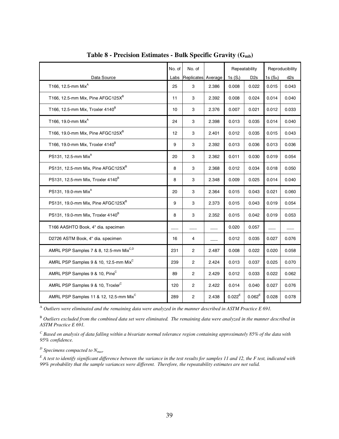|                                                    | No. of | No. of             |       | Repeatability |                 | Reproducibility |                 |
|----------------------------------------------------|--------|--------------------|-------|---------------|-----------------|-----------------|-----------------|
| Data Source                                        | Labs   | Replicates Average |       | 1s $(S_r)$    | D <sub>2s</sub> | 1s $(S_R)$      | d <sub>2s</sub> |
| T166, 12.5-mm Mix <sup>A</sup>                     | 25     | 3                  | 2.386 | 0.008         | 0.022           | 0.015           | 0.043           |
| T166, 12.5-mm Mix, Pine AFGC125X <sup>B</sup>      | 11     | 3                  | 2.392 | 0.008         | 0.024           | 0.014           | 0.040           |
| T166, 12.5-mm Mix, Troxler 4140 <sup>B</sup>       | 10     | 3                  | 2.376 | 0.007         | 0.021           | 0.012           | 0.033           |
| T166, 19.0-mm Mix <sup>A</sup>                     | 24     | 3                  | 2.398 | 0.013         | 0.035           | 0.014           | 0.040           |
| T166, 19.0-mm Mix, Pine AFGC125X <sup>B</sup>      | 12     | 3                  | 2.401 | 0.012         | 0.035           | 0.015           | 0.043           |
| T166, 19.0-mm Mix, Troxler 4140 <sup>B</sup>       | 9      | 3                  | 2.392 | 0.013         | 0.036           | 0.013           | 0.036           |
| PS131, 12.5-mm Mix <sup>A</sup>                    | 20     | 3                  | 2.362 | 0.011         | 0.030           | 0.019           | 0.054           |
| PS131, 12.5-mm Mix, Pine AFGC125XB                 | 8      | 3                  | 2.368 | 0.012         | 0.034           | 0.018           | 0.050           |
| PS131, 12.5-mm Mix, Troxler 4140 <sup>B</sup>      | 8      | 3                  | 2.348 | 0.009         | 0.025           | 0.014           | 0.040           |
| PS131, 19.0-mm Mix <sup>A</sup>                    | 20     | 3                  | 2.364 | 0.015         | 0.043           | 0.021           | 0.060           |
| PS131, 19.0-mm Mix, Pine AFGC125X <sup>B</sup>     | 9      | 3                  | 2.373 | 0.015         | 0.043           | 0.019           | 0.054           |
| PS131, 19.0-mm Mix, Troxler 4140 <sup>B</sup>      | 8      | 3                  | 2.352 | 0.015         | 0.042           | 0.019           | 0.053           |
| T166 AASHTO Book, 4" dia. specimen                 |        |                    |       | 0.020         | 0.057           |                 |                 |
| D2726 ASTM Book, 4" dia. specimen                  | 16     | 4                  |       | 0.012         | 0.035           | 0.027           | 0.076           |
| AMRL PSP Samples 7 & 8, 12.5-mm Mix <sup>C,D</sup> | 231    | $\overline{c}$     | 2.487 | 0.008         | 0.022           | 0.020           | 0.058           |
| AMRL PSP Samples 9 & 10, 12.5-mm Mix <sup>C</sup>  | 239    | 2                  | 2.424 | 0.013         | 0.037           | 0.025           | 0.070           |
| AMRL PSP Samples 9 & 10, Pine <sup>C</sup>         | 89     | 2                  | 2.429 | 0.012         | 0.033           | 0.022           | 0.062           |
| AMRL PSP Samples 9 & 10, Troxler <sup>C</sup>      | 120    | 2                  | 2.422 | 0.014         | 0.040           | 0.027           | 0.076           |
| AMRL PSP Samples 11 & 12, 12.5-mm Mix <sup>C</sup> | 289    | $\overline{c}$     | 2.438 | $0.022^E$     | $0.062^E$       | 0.028           | 0.078           |

**Table 8 - Precision Estimates - Bulk Specific Gravity (Gmb)**

<sup>A</sup> *Outliers were eliminated and the remaining data were analyzed in the manner described in ASTM Practice E 691.* 

B *Outliers excluded from the combined data set were eliminated. The remaining data were analyzed in the manner described in ASTM Practice E 691.*

*C Based on analysis of data falling within a bivariate normal tolerance region containing approximately 85% of the data with 95% confidence.* 

*D Specimens compacted to Nmax.*

*E A test to identify significant difference between the variance in the test results for samples 11 and 12, the F test, indicated with 99% probability that the sample variances were different. Therefore, the repeatability estimates are not valid.*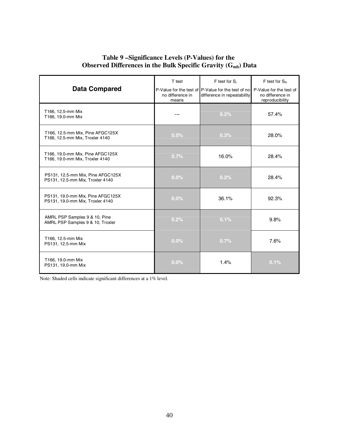### **Table 9 – Significance Levels (P-Values) for the Observed Differences in the Bulk Specific Gravity (G<sub>mb</sub>) Data**

|                                                                       | T test                    | F test for S <sub>r</sub>                                                         | $F$ test for $S_R$                                             |
|-----------------------------------------------------------------------|---------------------------|-----------------------------------------------------------------------------------|----------------------------------------------------------------|
| <b>Data Compared</b>                                                  | no difference in<br>means | P-Value for the test of P-Value for the test of no<br>difference in repeatability | P-Value for the test of<br>no difference in<br>reproducibility |
| T166, 12.5-mm Mix<br>T166, 19.0-mm Mix                                |                           | 0.2%                                                                              | 57.4%                                                          |
| T166, 12.5-mm Mix, Pine AFGC125X<br>T166, 12.5-mm Mix, Troxler 4140   | 0.0%                      | 0.3%                                                                              | 28.0%                                                          |
| T166, 19.0-mm Mix, Pine AFGC125X<br>T166, 19.0-mm Mix, Troxler 4140   | 0.7%                      | 16.0%                                                                             | 28.4%                                                          |
| PS131, 12.5-mm Mix, Pine AFGC125X<br>PS131, 12.5-mm Mix, Troxler 4140 | $0.0\%$                   | 0.2%                                                                              | 28.4%                                                          |
| PS131, 19.0-mm Mix, Pine AFGC125X<br>PS131, 19.0-mm Mix, Troxler 4140 | $0.0\%$                   | 36.1%                                                                             | 92.3%                                                          |
| AMRL PSP Samples 9 & 10, Pine<br>AMRL PSP Samples 9 & 10, Troxler     | 0.2%                      | 0.1%                                                                              | 9.8%                                                           |
| T166, 12.5-mm Mix<br>PS131, 12.5-mm Mix                               | $0.0\%$                   | 0.7%                                                                              | 7.6%                                                           |
| T166, 19.0-mm Mix<br>PS131, 19.0-mm Mix                               | $0.0\%$                   | 1.4%                                                                              | 0.1%                                                           |

Note: Shaded cells indicate significant differences at a 1% level.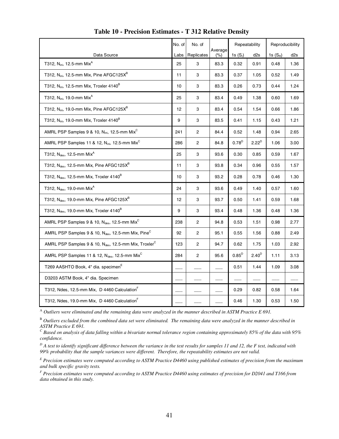|                                                                               | No. of | No. of                  |                | Repeatability |                   |            | Reproducibility |
|-------------------------------------------------------------------------------|--------|-------------------------|----------------|---------------|-------------------|------------|-----------------|
| Data Source                                                                   | Labs   | Replicates              | Average<br>(%) | 1s $(S_r)$    | d <sub>2s</sub>   | 1s $(S_R)$ | d2s             |
| T312, N <sub>ini</sub> , 12.5-mm Mix <sup>A</sup>                             | 25     | 3                       | 83.3           | 0.32          | 0.91              | 0.48       | 1.36            |
| T312, N <sub>ini</sub> , 12.5-mm Mix, Pine AFGC125 $X^B$                      | 11     | 3                       | 83.3           | 0.37          | 1.05              | 0.52       | 1.49            |
| T312, N <sub>ini</sub> , 12.5-mm Mix, Troxler 4140 <sup>B</sup>               | 10     | 3                       | 83.3           | 0.26          | 0.73              | 0.44       | 1.24            |
| T312, N <sub>ini</sub> , 19.0-mm Mix <sup>A</sup>                             | 25     | 3                       | 83.4           | 0.49          | 1.38              | 0.60       | 1.69            |
| T312, N <sub>ini</sub> , 19.0-mm Mix, Pine AFGC125X <sup>B</sup>              | 12     | 3                       | 83.4           | 0.54          | 1.54              | 0.66       | 1.86            |
| T312, N <sub>ini</sub> , 19.0-mm Mix, Troxler 4140 <sup>B</sup>               | 9      | 3                       | 83.5           | 0.41          | 1.15              | 0.43       | 1.21            |
| AMRL PSP Samples 9 & 10, N <sub>ini</sub> , 12.5-mm Mix <sup>C</sup>          | 241    | 2                       | 84.4           | 0.52          | 1.48              | 0.94       | 2.65            |
| AMRL PSP Samples 11 & 12, N <sub>ini</sub> , 12.5-mm Mix <sup>C</sup>         | 286    | 2                       | 84.8           | $0.78^{D}$    | $2.22^D$          | 1.06       | 3.00            |
| T312, $N_{des}$ , 12.5-mm Mix <sup>A</sup>                                    | 25     | 3                       | 93.6           | 0.30          | 0.85              | 0.59       | 1.67            |
| T312, N <sub>des</sub> , 12.5-mm Mix, Pine AFGC125X <sup>B</sup>              | 11     | 3                       | 93.8           | 0.34          | 0.96              | 0.55       | 1.57            |
| T312, Ndes, 12.5-mm Mix, Troxler 4140 <sup>B</sup>                            | 10     | 3                       | 93.2           | 0.28          | 0.78              | 0.46       | 1.30            |
| T312, N <sub>des</sub> , 19.0-mm Mix <sup>A</sup>                             | 24     | 3                       | 93.6           | 0.49          | 1.40              | 0.57       | 1.60            |
| T312, $N_{des}$ , 19.0-mm Mix, Pine AFGC125 $X^B$                             | 12     | 3                       | 93.7           | 0.50          | 1.41              | 0.59       | 1.68            |
| T312, N <sub>des</sub> , 19.0-mm Mix, Troxler 4140 <sup>B</sup>               | 9      | 3                       | 93.4           | 0.48          | 1.36              | 0.48       | 1.36            |
| AMRL PSP Samples 9 & 10, $N_{des}$ , 12.5-mm Mix <sup>C</sup>                 | 238    | $\overline{2}$          | 94.8           | 0.53          | 1.51              | 0.98       | 2.77            |
| AMRL PSP Samples 9 & 10, $N_{des}$ , 12.5-mm Mix, Pine <sup>C</sup>           | 92     | $\sqrt{2}$              | 95.1           | 0.55          | 1.56              | 0.88       | 2.49            |
| AMRL PSP Samples 9 & 10, N <sub>des</sub> , 12.5-mm Mix, Troxler <sup>C</sup> | 123    | 2                       | 94.7           | 0.62          | 1.75              | 1.03       | 2.92            |
| AMRL PSP Samples 11 & 12, N <sub>des</sub> , 12.5-mm Mix <sup>C</sup>         | 284    | $\overline{\mathbf{c}}$ | 95.6           | $0.85^{D}$    | 2.40 <sup>D</sup> | 1.11       | 3.13            |
| T269 AASHTO Book, 4" dia. specimen <sup>E</sup>                               |        |                         |                | 0.51          | 1.44              | 1.09       | 3.08            |
| D3203 ASTM Book, 4" dia. Specimen                                             |        |                         |                |               |                   |            |                 |
| T312, Ndes, 12.5-mm Mix, D 4460 Calculation <sup>F</sup>                      |        |                         |                | 0.29          | 0.82              | 0.58       | 1.64            |
| T312, Ndes, 19.0-mm Mix, D 4460 Calculation                                   |        |                         |                | 0.46          | 1.30              | 0.53       | 1.50            |

#### **Table 10 - Precision Estimates - T 312 Relative Density**

<sup>A</sup> *Outliers were eliminated and the remaining data were analyzed in the manner described in ASTM Practice E 691.* 

<sup>B</sup> *Outliers excluded from the combined data set were eliminated. The remaining data were analyzed in the manner described in ASTM Practice E 691.*

*C Based on analysis of data falling within a bivariate normal tolerance region containing approximately 85% of the data with 95% confidence.* 

*D A test to identify significant difference between the variance in the test results for samples 11 and 12, the F test, indicated with 99% probability that the sample variances were different. Therefore, the repeatability estimates are not valid.* 

*E Precision estimates were computed according to ASTM Practice D4460 using published estimates of precision from the maximum and bulk specific gravity tests.* 

*F Precision estimates were computed according to ASTM Practice D4460 using estimates of precision for D2041 and T166 from data obtained in this study.*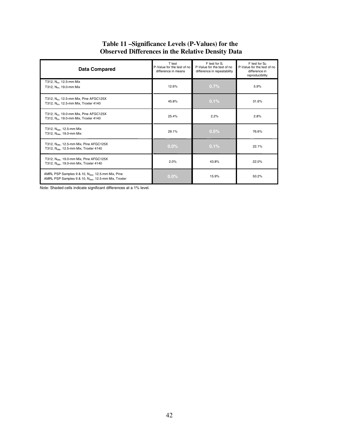| <b>Data Compared</b>                                                                                                 | T test<br>P-Value for the test of no<br>difference in means | F test for S <sub>r</sub><br>P-Value for the test of no<br>difference in repeatability | $F$ test for $S_R$<br>P-Value for the test of no<br>difference in<br>reproducibility |
|----------------------------------------------------------------------------------------------------------------------|-------------------------------------------------------------|----------------------------------------------------------------------------------------|--------------------------------------------------------------------------------------|
| T312, N <sub>ini</sub> , 12.5-mm Mix<br>T312, N <sub>ini</sub> , 19.0-mm Mix                                         | 12.6%                                                       | $0.7\%$                                                                                | 5.9%                                                                                 |
| T312, N <sub>ini</sub> , 12.5-mm Mix, Pine AFGC125X<br>T312, N <sub>ini</sub> , 12.5-mm Mix, Troxler 4140            | 45.8%                                                       | 0.1%                                                                                   | 31.6%                                                                                |
| T312, N <sub>ini</sub> , 19.0-mm Mix, Pine AFGC125X<br>T312, N <sub>ini</sub> , 19.0-mm Mix, Troxler 4140            | 25.4%                                                       | 2.2%                                                                                   | 2.8%                                                                                 |
| T312, $N_{\text{des}}$ , 12.5-mm Mix<br>T312, N <sub>des</sub> , 19.0-mm Mix                                         | 29.1%                                                       | 0.5%                                                                                   | 76.6%                                                                                |
| T312, N <sub>des</sub> , 12.5-mm Mix, Pine AFGC125X<br>T312, N <sub>des</sub> , 12.5-mm Mix, Troxler 4140            | $0.0\%$                                                     | 0.1%                                                                                   | 22.1%                                                                                |
| T312, N <sub>des</sub> , 19.0-mm Mix, Pine AFGC125X<br>T312, N <sub>des</sub> , 19.0-mm Mix, Troxler 4140            | 2.0%                                                        | 43.8%                                                                                  | 22.0%                                                                                |
| AMRL PSP Samples 9 & 10, N <sub>des</sub> , 12.5-mm Mix, Pine<br>AMRL PSP Samples 9 & 10, Ndes, 12.5-mm Mix, Troxler | $0.0\%$                                                     | 15.9%                                                                                  | 50.2%                                                                                |

### **Table 11 – Significance Levels (P-Values) for the Observed Differences in the Relative Density Data**

Note: Shaded cells indicate significant differences at a 1% level.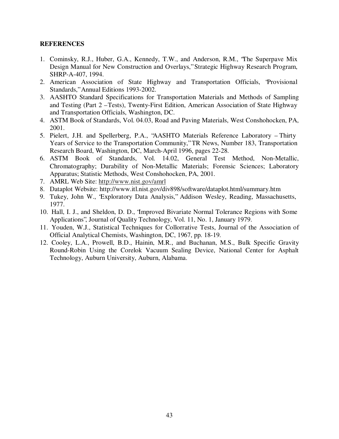### **REFERENCES**

- 1. Cominsky, R.J., Huber, G.A., Kennedy, T.W., and Anderson, R.M., "The Superpave Mix Design Manual for New Construction and Overlays," Strategic Highway Research Program, SHRP-A-407, 1994.
- 2. American Association of State Highway and Transportation Officials, "Provisional Standards," Annual Editions 1993-2002.
- 3. AASHTO Standard Specifications for Transportation Materials and Methods of Sampling and Testing (Part 2 – Tests), Twenty-First Edition, American Association of State Highway and Transportation Officials, Washington, DC.
- 4. ASTM Book of Standards, Vol. 04.03, Road and Paving Materials, West Conshohocken, PA, 2001.
- 5. Pielert, J.H. and Spellerberg, P.A., "AASHTO Materials Reference Laboratory Thirty Years of Service to the Transportation Community," TR News, Number 183, Transportation Research Board, Washington, DC, March-April 1996, pages 22-28.
- 6. ASTM Book of Standards, Vol. 14.02, General Test Method, Non-Metallic, Chromatography; Durability of Non-Metallic Materials; Forensic Sciences; Laboratory Apparatus; Statistic Methods, West Conshohocken, PA, 2001.
- 7. AMRL Web Site: http://www.nist.gov/amrl
- 8. Dataplot Website: http://www.itl.nist.gov/div898/software/dataplot.html/summary.htm
- 9. Tukey, John W., "Exploratory Data Analysis," Addison Wesley, Reading, Massachusetts, 1977.
- 10. Hall, I. J., and Sheldon, D. D., "Improved Bivariate Normal Tolerance Regions with Some Applications", Journal of Quality Technology, Vol. 11, No. 1, January 1979.
- 11. Youden, W.J., Statistical Techniques for Collorrative Tests, Journal of the Association of Official Analytical Chemists, Washington, DC, 1967, pp. 18-19.
- 12. Cooley, L.A., Prowell, B.D., Hainin, M.R., and Buchanan, M.S., Bulk Specific Gravity Round-Robin Using the Corelok Vacuum Sealing Device, National Center for Asphalt Technology, Auburn University, Auburn, Alabama.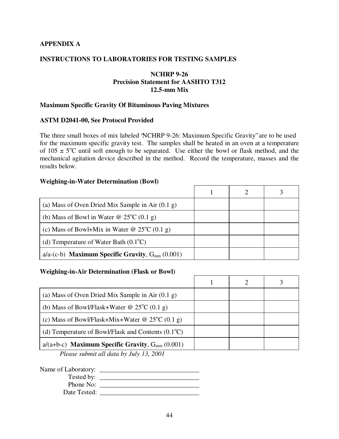### **APPENDIX A**

### **INSTRUCTIONS TO LABORATORIES FOR TESTING SAMPLES**

### **NCHRP 9-26 Precision Statement for AASHTO T312 12.5-mm Mix**

### **Maximum Specific Gravity Of Bituminous Paving Mixtures**

#### **ASTM D2041-00, See Protocol Provided**

The three small boxes of mix labeled "NCHRP 9-26: Maximum Specific Gravity" are to be used for the maximum specific gravity test. The samples shall be heated in an oven at a temperature of  $105 \pm 5$ °C until soft enough to be separated. Use either the bowl or flask method, and the mechanical agitation device described in the method. Record the temperature, masses and the results below.

#### **Weighing-in-Water Determination (Bowl)**

| (a) Mass of Oven Dried Mix Sample in Air $(0.1 g)$      |  |  |
|---------------------------------------------------------|--|--|
| (b) Mass of Bowl in Water @ $25^{\circ}C$ (0.1 g)       |  |  |
| (c) Mass of Bowl+Mix in Water @ $25^{\circ}C$ (0.1 g)   |  |  |
| (d) Temperature of Water Bath $(0.1^{\circ}C)$          |  |  |
| $a/a$ -(c-b) Maximum Specific Gravity, $G_{mm}$ (0.001) |  |  |

#### **Weighing-in-Air Determination (Flask or Bowl)**

| (a) Mass of Oven Dried Mix Sample in Air $(0.1 \text{ g})$  |  |  |
|-------------------------------------------------------------|--|--|
| (b) Mass of Bowl/Flask+Water @ $25^{\circ}$ C (0.1 g)       |  |  |
| (c) Mass of Bowl/Flask+Mix+Water @ $25^{\circ}C$ (0.1 g)    |  |  |
| (d) Temperature of Bowl/Flask and Contents $(0.1^{\circ}C)$ |  |  |
| $a/(a+b-c)$ Maximum Specific Gravity, $G_{mm}$ (0.001)      |  |  |

*Please submit all data by July 13, 2001*

Name of Laboratory: \_\_\_\_\_\_\_\_\_\_\_\_\_\_\_\_\_\_\_\_\_\_\_\_\_\_\_\_\_\_

| Tested by:   |  |
|--------------|--|
| Phone No:    |  |
| Date Tested: |  |
|              |  |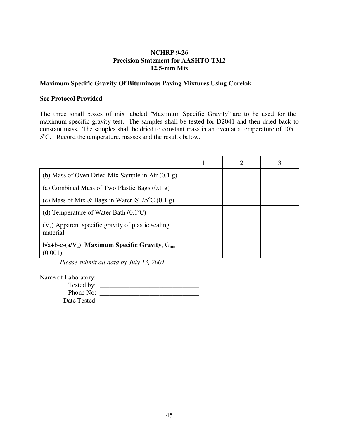### **Maximum Specific Gravity Of Bituminous Paving Mixtures Using Corelok**

### **See Protocol Provided**

The three small boxes of mix labeled "Maximum Specific Gravity" are to be used for the maximum specific gravity test. The samples shall be tested for D2041 and then dried back to constant mass. The samples shall be dried to constant mass in an oven at a temperature of  $105 \pm$ 5<sup>o</sup>C. Record the temperature, masses and the results below.

|                                                                  | 2 |  |
|------------------------------------------------------------------|---|--|
| (b) Mass of Oven Dried Mix Sample in Air $(0.1 g)$               |   |  |
| (a) Combined Mass of Two Plastic Bags $(0.1 \text{ g})$          |   |  |
| (c) Mass of Mix & Bags in Water @ $25^{\circ}C$ (0.1 g)          |   |  |
| (d) Temperature of Water Bath $(0.1^{\circ}C)$                   |   |  |
| $(V_c)$ Apparent specific gravity of plastic sealing<br>material |   |  |
| $b/a+b-c-(a/V_c)$ Maximum Specific Gravity, $G_{mm}$<br>(0.001)  |   |  |

*Please submit all data by July 13, 2001*

| Name of Laboratory: |  |
|---------------------|--|
|                     |  |
| Phone No:           |  |
| Date Tested:        |  |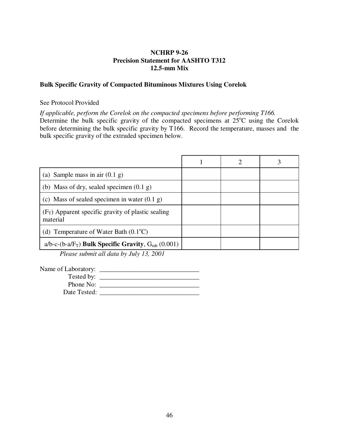### **Bulk Specific Gravity of Compacted Bituminous Mixtures Using Corelok**

#### See Protocol Provided

*If applicable, perform the Corelok on the compacted specimens before performing T166.* Determine the bulk specific gravity of the compacted specimens at  $25^{\circ}$ C using the Corelok before determining the bulk specific gravity by T166. Record the temperature, masses and the bulk specific gravity of the extruded specimen below.

| (a) Sample mass in air $(0.1 g)$                                    |  |  |
|---------------------------------------------------------------------|--|--|
| (b) Mass of dry, sealed specimen $(0.1 \text{ g})$                  |  |  |
| (c) Mass of sealed specimen in water $(0.1 g)$                      |  |  |
| $(F_T)$ Apparent specific gravity of plastic sealing<br>material    |  |  |
| (d) Temperature of Water Bath $(0.1^{\circ}C)$                      |  |  |
| a/b-c-(b-a/F <sub>T</sub> ) Bulk Specific Gravity, $G_{mb}$ (0.001) |  |  |

*Please submit all data by July 13, 2001*

| Name of Laboratory: |  |
|---------------------|--|
| Tested by:          |  |
| Phone No:           |  |
| Date Tested:        |  |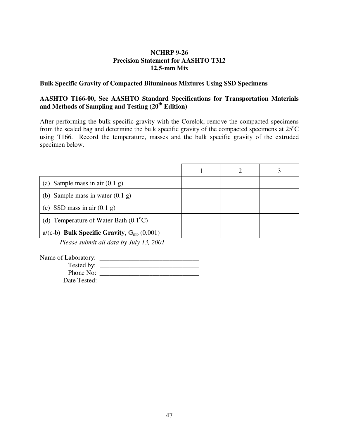### **Bulk Specific Gravity of Compacted Bituminous Mixtures Using SSD Specimens**

### **AASHTO T166-00, See AASHTO Standard Specifications for Transportation Materials**  and Methods of Sampling and Testing (20<sup>th</sup> Edition)

After performing the bulk specific gravity with the Corelok, remove the compacted specimens from the sealed bag and determine the bulk specific gravity of the compacted specimens at  $25^{\circ}$ C using T166. Record the temperature, masses and the bulk specific gravity of the extruded specimen below.

| Sample mass in air $(0.1 \text{ g})$<br>(a)       |  |  |
|---------------------------------------------------|--|--|
| (b) Sample mass in water $(0.1 \text{ g})$        |  |  |
| (c) SSD mass in air $(0.1 \text{ g})$             |  |  |
| (d) Temperature of Water Bath $(0.1^{\circ}C)$    |  |  |
| $a/(c-b)$ Bulk Specific Gravity, $G_{mb}$ (0.001) |  |  |

*Please submit all data by July 13, 2001*

| Name of Laboratory: |  |
|---------------------|--|
| Tested by:          |  |
| Phone No:           |  |
| Date Tested:        |  |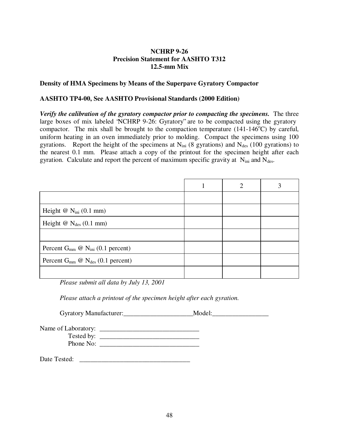### **Density of HMA Specimens by Means of the Superpave Gyratory Compactor**

### **AASHTO TP4-00, See AASHTO Provisional Standards (2000 Edition)**

*Verify the calibration of the gyratory compactor prior to compacting the specimens.* The three large boxes of mix labeled "NCHRP 9-26: Gyratory" are to be compacted using the gyratory compactor. The mix shall be brought to the compaction temperature  $(141-146^{\circ}C)$  by careful, uniform heating in an oven immediately prior to molding. Compact the specimens using 100 gyrations. Report the height of the specimens at  $N_{\text{ini}}$  (8 gyrations) and  $N_{\text{des}}$  (100 gyrations) to the nearest 0.1 mm. Please attach a copy of the printout for the specimen height after each gyration. Calculate and report the percent of maximum specific gravity at  $N_{\text{ini}}$  and  $N_{\text{des}}$ .

|                                            | 2 |  |
|--------------------------------------------|---|--|
|                                            |   |  |
| Height $@$ $N_{\text{ini}}$ (0.1 mm)       |   |  |
| Height $@$ $N_{des}$ (0.1 mm)              |   |  |
|                                            |   |  |
| Percent $G_{mm}$ @ $N_{ini}$ (0.1 percent) |   |  |
| Percent $G_{mm}$ @ $N_{des}$ (0.1 percent) |   |  |
|                                            |   |  |

*Please submit all data by July 13, 2001*

*Please attach a printout of the specimen height after each gyration.*

Gyratory Manufacturer:\_\_\_\_\_\_\_\_\_\_\_\_\_\_\_\_\_\_\_\_\_\_\_\_\_\_\_\_\_Model:

| Name of Laboratory: |  |
|---------------------|--|
| Tested by:          |  |
| Phone No:           |  |

Date Tested: \_\_\_\_\_\_\_\_\_\_\_\_\_\_\_\_\_\_\_\_\_\_\_\_\_\_\_\_\_\_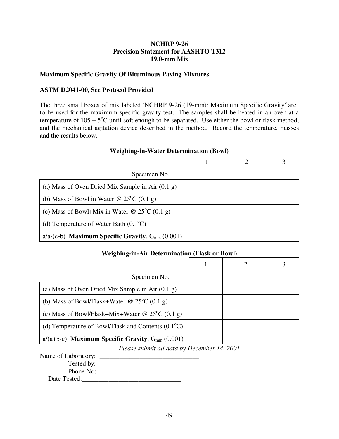### **Maximum Specific Gravity Of Bituminous Paving Mixtures**

### **ASTM D2041-00, See Protocol Provided**

The three small boxes of mix labeled "NCHRP 9-26 (19-mm): Maximum Specific Gravity" are to be used for the maximum specific gravity test. The samples shall be heated in an oven at a temperature of  $105 \pm 5^{\circ}$ C until soft enough to be separated. Use either the bowl or flask method, and the mechanical agitation device described in the method. Record the temperature, masses and the results below.

|                                                            | Specimen No. |  |  |
|------------------------------------------------------------|--------------|--|--|
| (a) Mass of Oven Dried Mix Sample in Air $(0.1 \text{ g})$ |              |  |  |
| (b) Mass of Bowl in Water @ $25^{\circ}C$ (0.1 g)          |              |  |  |
| (c) Mass of Bowl+Mix in Water @ $25^{\circ}C$ (0.1 g)      |              |  |  |
| (d) Temperature of Water Bath $(0.1^{\circ}C)$             |              |  |  |
| $a/a$ -(c-b) Maximum Specific Gravity, $G_{mm}$ (0.001)    |              |  |  |

### **Weighing-in-Water Determination (Bowl)**

 $\overline{\phantom{0}}$ 

# **Weighing-in-Air Determination (Flask or Bowl)**

|                                                             | Specimen No.                                           |  |  |
|-------------------------------------------------------------|--------------------------------------------------------|--|--|
| (a) Mass of Oven Dried Mix Sample in Air $(0.1 \text{ g})$  |                                                        |  |  |
| (b) Mass of Bowl/Flask+Water @ $25^{\circ}C$ (0.1 g)        |                                                        |  |  |
| (c) Mass of Bowl/Flask+Mix+Water @ $25^{\circ}C$ (0.1 g)    |                                                        |  |  |
| (d) Temperature of Bowl/Flask and Contents $(0.1^{\circ}C)$ |                                                        |  |  |
|                                                             | $a/(a+b-c)$ Maximum Specific Gravity, $G_{mm}$ (0.001) |  |  |

### *Please submit all data by December 14, 2001*

Name of Laboratory: \_\_\_\_\_\_\_\_\_\_\_\_\_\_\_\_\_\_\_\_\_\_\_\_\_\_\_\_\_\_ Tested by: \_\_\_\_\_\_\_\_\_\_\_\_\_\_\_\_\_\_\_\_\_\_\_\_\_\_\_\_\_\_

Phone No: \_\_\_\_\_\_\_\_\_\_\_\_\_\_\_\_\_\_\_\_\_\_\_\_\_\_\_\_\_\_

Date Tested:\_\_\_\_\_\_\_\_\_\_\_\_\_\_\_\_\_\_\_\_\_\_\_\_\_\_\_\_\_\_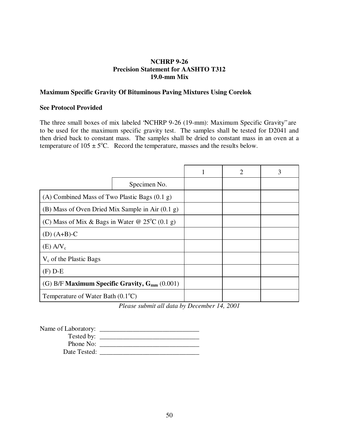### **Maximum Specific Gravity Of Bituminous Paving Mixtures Using Corelok**

#### **See Protocol Provided**

The three small boxes of mix labeled "NCHRP 9-26 (19-mm): Maximum Specific Gravity" are to be used for the maximum specific gravity test. The samples shall be tested for D2041 and then dried back to constant mass. The samples shall be dried to constant mass in an oven at a temperature of  $105 \pm 5^{\circ}$ C. Record the temperature, masses and the results below.

|                                                         |              | $\mathcal{D}_{\mathcal{A}}$ |  |
|---------------------------------------------------------|--------------|-----------------------------|--|
|                                                         | Specimen No. |                             |  |
| (A) Combined Mass of Two Plastic Bags $(0.1 \text{ g})$ |              |                             |  |
| (B) Mass of Oven Dried Mix Sample in Air $(0.1 g)$      |              |                             |  |
| (C) Mass of Mix & Bags in Water @ $25^{\circ}C$ (0.1 g) |              |                             |  |
| $(D)$ (A+B)-C                                           |              |                             |  |
| $(E)$ A/V <sub>c</sub>                                  |              |                             |  |
| $V_c$ of the Plastic Bags                               |              |                             |  |
| $(F)$ D-E                                               |              |                             |  |
| (G) B/F Maximum Specific Gravity, $G_{mm}$ (0.001)      |              |                             |  |
| Temperature of Water Bath $(0.1^{\circ}C)$              |              |                             |  |

*Please submit all data by December 14, 2001*

| Name of Laboratory: |  |
|---------------------|--|
| Tested by:          |  |
| Phone No:           |  |
| Date Tested:        |  |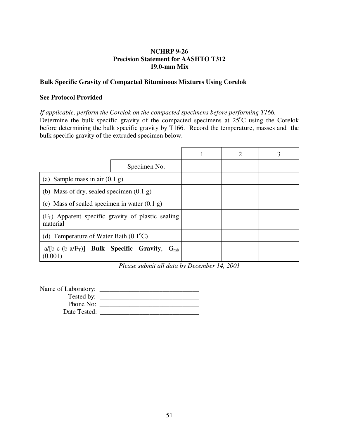### **Bulk Specific Gravity of Compacted Bituminous Mixtures Using Corelok**

### **See Protocol Provided**

*If applicable, perform the Corelok on the compacted specimens before performing T166.* Determine the bulk specific gravity of the compacted specimens at  $25^{\circ}$ C using the Corelok before determining the bulk specific gravity by T166. Record the temperature, masses and the bulk specific gravity of the extruded specimen below.

|                                                       | Specimen No.                                         |  |  |
|-------------------------------------------------------|------------------------------------------------------|--|--|
| (a) Sample mass in air $(0.1 g)$                      |                                                      |  |  |
| (b) Mass of dry, sealed specimen $(0.1 g)$            |                                                      |  |  |
| (c) Mass of sealed specimen in water $(0.1 g)$        |                                                      |  |  |
| material                                              | $(F_T)$ Apparent specific gravity of plastic sealing |  |  |
| (d) Temperature of Water Bath $(0.1^{\circ}C)$        |                                                      |  |  |
| $a/[b-c-(b-a/F_T)]$ Bulk Specific Gravity,<br>(0.001) | $G_{mb}$                                             |  |  |

*Please submit all data by December 14, 2001*

| Name of Laboratory: |  |
|---------------------|--|
| Tested by:          |  |
| Phone No:           |  |
| Date Tested:        |  |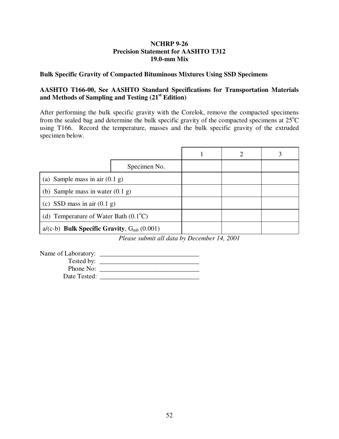### **Bulk Specific Gravity of Compacted Bituminous Mixtures Using SSD Specimens**

### **AASHTO T166-00, See AASHTO Standard Specifications for Transportation Materials and Methods of Sampling and Testing (21st Edition)**

After performing the bulk specific gravity with the Corelok, remove the compacted specimens from the sealed bag and determine the bulk specific gravity of the compacted specimens at  $25^{\circ}$ C using T166. Record the temperature, masses and the bulk specific gravity of the extruded specimen below.

|                                                   |              | 2 |  |
|---------------------------------------------------|--------------|---|--|
|                                                   | Specimen No. |   |  |
| (a) Sample mass in air $(0.1 g)$                  |              |   |  |
| (b) Sample mass in water $(0.1 g)$                |              |   |  |
| (c) SSD mass in air $(0.1 \text{ g})$             |              |   |  |
| (d) Temperature of Water Bath $(0.1^{\circ}C)$    |              |   |  |
| $a/(c-b)$ Bulk Specific Gravity, $G_{mb}$ (0.001) |              |   |  |

*Please submit all data by December 14, 2001*

Name of Laboratory:

| $\cdots$     |  |
|--------------|--|
| Tested by:   |  |
| Phone No:    |  |
| Date Tested: |  |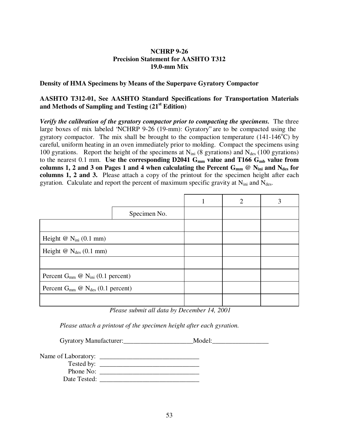### **Density of HMA Specimens by Means of the Superpave Gyratory Compactor**

### **AASHTO T312-01, See AASHTO Standard Specifications for Transportation Materials and Methods of Sampling and Testing (21st Edition)**

*Verify the calibration of the gyratory compactor prior to compacting the specimens.* The three large boxes of mix labeled "NCHRP 9-26 (19-mm): Gyratory" are to be compacted using the gyratory compactor. The mix shall be brought to the compaction temperature  $(141-146^{\circ}\text{C})$  by careful, uniform heating in an oven immediately prior to molding. Compact the specimens using 100 gyrations. Report the height of the specimens at  $N_{\text{ini}}$  (8 gyrations) and  $N_{\text{des}}$  (100 gyrations) to the nearest 0.1 mm. Use the corresponding D2041 G<sub>mm</sub> value and T166 G<sub>mb</sub> value from columns 1, 2 and 3 on Pages 1 and 4 when calculating the Percent  $G_{mm}$  @  $N_{ini}$  and  $N_{des}$  for **columns 1, 2 and 3.** Please attach a copy of the printout for the specimen height after each gyration. Calculate and report the percent of maximum specific gravity at  $N_{\text{ini}}$  and  $N_{\text{des}}$ .

|                                            |              | $\overline{2}$ | 3 |
|--------------------------------------------|--------------|----------------|---|
|                                            | Specimen No. |                |   |
|                                            |              |                |   |
| Height $@$ N <sub>ini</sub> $(0.1$ mm)     |              |                |   |
| Height $\omega$ N <sub>des</sub> (0.1 mm)  |              |                |   |
|                                            |              |                |   |
| Percent $G_{mm}$ @ $N_{ini}$ (0.1 percent) |              |                |   |
| Percent $G_{mm}$ @ $N_{des}$ (0.1 percent) |              |                |   |
|                                            |              |                |   |

*Please submit all data by December 14, 2001*

*Please attach a printout of the specimen height after each gyration.*

| <b>Gyratory Manufacturer:</b> | Model: |
|-------------------------------|--------|
|-------------------------------|--------|

Name of Laboratory: \_\_\_\_\_\_\_\_\_\_\_\_\_\_\_\_\_\_\_\_\_\_\_\_\_\_\_\_\_\_ Tested by: Phone No: \_\_\_\_\_\_\_\_\_\_\_\_\_\_\_\_\_\_\_\_\_\_\_\_\_\_\_\_\_\_ Date Tested: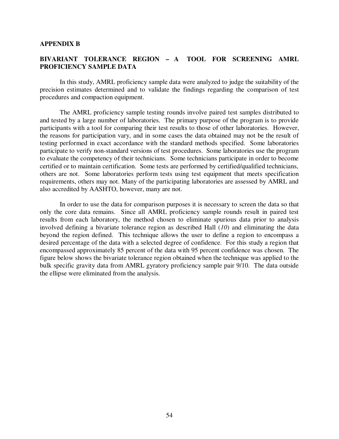#### **APPENDIX B**

### **BIVARIANT TOLERANCE REGION – A TOOL FOR SCREENING AMRL PROFICIENCY SAMPLE DATA**

In this study, AMRL proficiency sample data were analyzed to judge the suitability of the precision estimates determined and to validate the findings regarding the comparison of test procedures and compaction equipment.

The AMRL proficiency sample testing rounds involve paired test samples distributed to and tested by a large number of laboratories. The primary purpose of the program is to provide participants with a tool for comparing their test results to those of other laboratories. However, the reasons for participation vary, and in some cases the data obtained may not be the result of testing performed in exact accordance with the standard methods specified. Some laboratories participate to verify non-standard versions of test procedures. Some laboratories use the program to evaluate the competency of their technicians. Some technicians participate in order to become certified or to maintain certification. Some tests are performed by certified/qualified technicians, others are not. Some laboratories perform tests using test equipment that meets specification requirements, others may not. Many of the participating laboratories are assessed by AMRL and also accredited by AASHTO, however, many are not.

In order to use the data for comparison purposes it is necessary to screen the data so that only the core data remains. Since all AMRL proficiency sample rounds result in paired test results from each laboratory, the method chosen to eliminate spurious data prior to analysis involved defining a bivariate tolerance region as described Hall (*10*) and eliminating the data beyond the region defined. This technique allows the user to define a region to encompass a desired percentage of the data with a selected degree of confidence. For this study a region that encompassed approximately 85 percent of the data with 95 percent confidence was chosen. The figure below shows the bivariate tolerance region obtained when the technique was applied to the bulk specific gravity data from AMRL gyratory proficiency sample pair 9/10. The data outside the ellipse were eliminated from the analysis.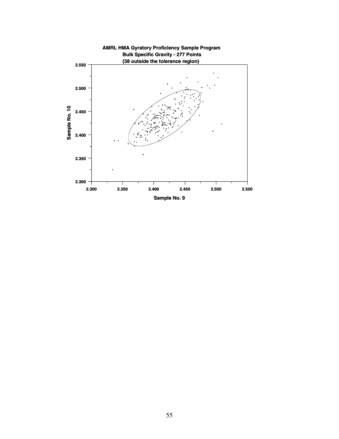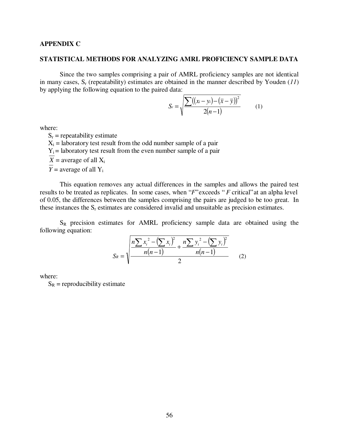### **APPENDIX C**

#### **STATISTICAL METHODS FOR ANALYZING AMRL PROFICIENCY SAMPLE DATA**

Since the two samples comprising a pair of AMRL proficiency samples are not identical in many cases,  $S_r$  (repeatability) estimates are obtained in the manner described by Youden (11) by applying the following equation to the paired data:

$$
S_r = \sqrt{\frac{\sum ((x_i - y_i) - (\overline{x} - \overline{y}))^2}{2(n-1)}}\tag{1}
$$

where:

 $S_r$  = repeatability estimate  $X_i$  = laboratory test result from the odd number sample of a pair  $Y_i$  = laboratory test result from the even number sample of a pair  $\overline{X}$  = average of all  $X_i$ *Y* = average of all  $Y_i$ 

This equation removes any actual differences in the samples and allows the paired test results to be treated as replicates. In some cases, when "*F*" exceeds " *F* critical" at an alpha level of 0.05, the differences between the samples comprising the pairs are judged to be too great. In these instances the  $S_r$  estimates are considered invalid and unsuitable as precision estimates.

 $S_R$  precision estimates for AMRL proficiency sample data are obtained using the following equation:

$$
S_R = \sqrt{\frac{n \sum x_i^2 - (\sum x_i)^2}{n(n-1)} + \frac{n \sum y_i^2 - (\sum y_i)^2}{n(n-1)}} \tag{2}
$$

where:

 $S_R$  = reproducibility estimate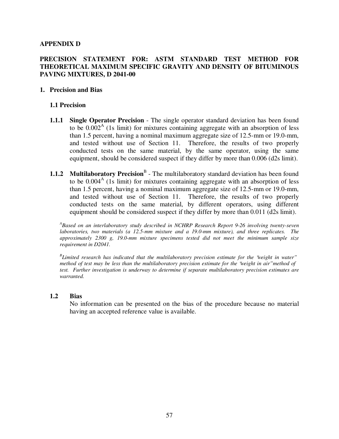### **APPENDIX D**

### **PRECISION STATEMENT FOR: ASTM STANDARD TEST METHOD FOR THEORETICAL MAXIMUM SPECIFIC GRAVITY AND DENSITY OF BITUMINOUS PAVING MIXTURES, D 2041-00**

#### **1. Precision and Bias**

### **1.1 Precision**

- **1.1.1 Single Operator Precision** The single operator standard deviation has been found to be  $0.002<sup>A</sup>$  (1s limit) for mixtures containing aggregate with an absorption of less than 1.5 percent, having a nominal maximum aggregate size of 12.5-mm or 19.0-mm, and tested without use of Section 11. Therefore, the results of two properly conducted tests on the same material, by the same operator, using the same equipment, should be considered suspect if they differ by more than 0.006 (d2s limit).
- **1.1.2** Multilaboratory Precision<sup>B</sup> The multilaboratory standard deviation has been found to be  $0.004<sup>A</sup>$  (1s limit) for mixtures containing aggregate with an absorption of less than 1.5 percent, having a nominal maximum aggregate size of 12.5-mm or 19.0-mm, and tested without use of Section 11. Therefore, the results of two properly conducted tests on the same material, by different operators, using different equipment should be considered suspect if they differ by more than 0.011 (d2s limit).

*A Based on an interlaboratory study described in NCHRP Research Report 9-26 involving twenty-seven laboratories, two materials (a 12.5-mm mixture and a 19.0-mm mixture), and three replicates. The approximately 2300 g, 19.0-mm mixture specimens tested did not meet the minimum sample size requirement in D2041.* 

*B Limited research has indicated that the multilaboratory precision estimate for the "weight in water" method of test may be less than the multilaboratory precision estimate for the "weight in air" method of test. Further investigation is underway to determine if separate multilaboratory precision estimates are warranted.* 

#### **1.2 Bias**

No information can be presented on the bias of the procedure because no material having an accepted reference value is available.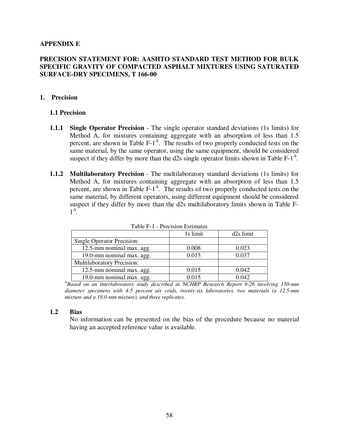### **APPENDIX E**

### **PRECISION STATEMENT FOR: AASHTO STANDARD TEST METHOD FOR BULK SPECIFIC GRAVITY OF COMPACTED ASPHALT MIXTURES USING SATURATED SURFACE-DRY SPECIMENS, T 166-00**

#### **1. Precision**

### **1.1 Precision**

- **1.1.1 Single Operator Precision** The single operator standard deviations (1s limits) for Method A, for mixtures containing aggregate with an absorption of less than 1.5 percent, are shown in Table  $F-1^A$ . The results of two properly conducted tests on the same material, by the same operator, using the same equipment, should be considered suspect if they differ by more than the d2s single operator limits shown in Table  $F-1<sup>A</sup>$ .
- **1.1.2 Multilaboratory Precision** The multilaboratory standard deviations (1s limits) for Method A, for mixtures containing aggregate with an absorption of less than 1.5 percent, are shown in Table  $F-1^A$ . The results of two properly conducted tests on the same material, by different operators, using different equipment should be considered suspect if they differ by more than the d2s multilaboratory limits shown in Table F- $1^{\mathsf{A}}$ .

| 100101111001010111100111000 |          |                       |  |  |
|-----------------------------|----------|-----------------------|--|--|
|                             | 1s limit | d <sub>2s</sub> limit |  |  |
| Single Operator Precision:  |          |                       |  |  |
| 12.5-mm nominal max. agg.   | 0.008    | 0.023                 |  |  |
| 19.0-mm nominal max. agg.   | 0.013    | 0.037                 |  |  |
| Multilaboratory Precision:  |          |                       |  |  |
| 12.5-mm nominal max. agg.   | 0.015    | 0.042                 |  |  |
| 19.0-mm nominal max. agg.   | 0.015    | 0.042                 |  |  |

Table F-1 - Precision Estimates

19.0-mm nominal max. agg. 19.0-mm nominal max. agg. 19.015 0.042<br><sup>A</sup>Based on an interlaboratory study described in NCHRP Research Report 9-26 involving 150-mm *diameter specimens with 4-5 percent air voids, twenty-six laboratories, two materials (a 12.5-mm mixture and a 19.0-mm mixture), and three replicates.* 

#### **1.2 Bias**

No information can be presented on the bias of the procedure because no material having an accepted reference value is available.